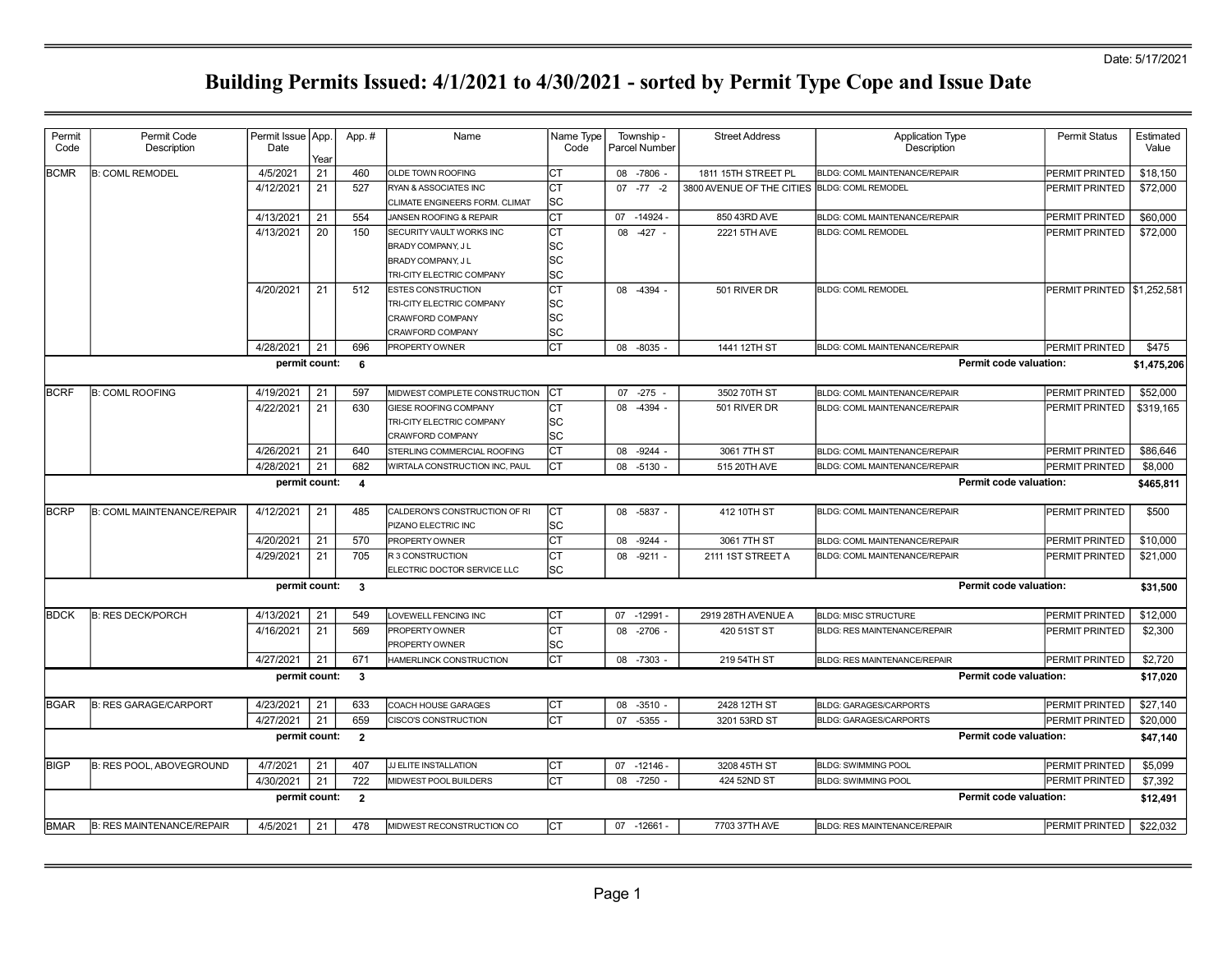| <b>BCMR</b> | <b>B: COML REMODEL</b>            | 4/5/2021<br>4/12/2021<br>4/13/2021<br>4/13/2021<br>4/20/2021<br>4/28/2021 | 21<br>21<br>21<br>$\overline{20}$<br>21 | 460<br>527<br>554<br>150<br>512 | OLDE TOWN ROOFING<br>RYAN & ASSOCIATES INC<br>CLIMATE ENGINEERS FORM. CLIMAT<br>JANSEN ROOFING & REPAIR<br>SECURITY VAULT WORKS INC<br>BRADY COMPANY, J L<br>BRADY COMPANY, J L<br>TRI-CITY ELECTRIC COMPANY<br><b>ESTES CONSTRUCTION</b><br>TRI-CITY ELECTRIC COMPANY | СT<br>СT<br>lsc<br>СT<br>СT<br>SC<br>SC<br><b>SC</b><br>СT | 08 -7806 -<br>$07 - 77 - 2$<br>$-14924 -$<br>07<br>08 -427 - | 1811 15TH STREET PL<br>3800 AVENUE OF THE CITIES BLDG: COML REMODEL<br>850 43RD AVE<br>2221 5TH AVE | <b>BLDG: COML MAINTENANCE/REPAIR</b><br><b>BLDG: COML MAINTENANCE/REPAIR</b><br><b>BLDG: COML REMODEL</b> | PERMIT PRINTED<br>PERMIT PRINTED<br>PERMIT PRINTED<br>PERMIT PRINTED | \$18,150<br>\$72,000<br>\$60,000<br>\$72,000 |
|-------------|-----------------------------------|---------------------------------------------------------------------------|-----------------------------------------|---------------------------------|------------------------------------------------------------------------------------------------------------------------------------------------------------------------------------------------------------------------------------------------------------------------|------------------------------------------------------------|--------------------------------------------------------------|-----------------------------------------------------------------------------------------------------|-----------------------------------------------------------------------------------------------------------|----------------------------------------------------------------------|----------------------------------------------|
|             |                                   |                                                                           |                                         |                                 |                                                                                                                                                                                                                                                                        |                                                            |                                                              |                                                                                                     |                                                                                                           |                                                                      |                                              |
|             |                                   |                                                                           |                                         |                                 |                                                                                                                                                                                                                                                                        |                                                            |                                                              |                                                                                                     |                                                                                                           |                                                                      |                                              |
|             |                                   |                                                                           |                                         |                                 |                                                                                                                                                                                                                                                                        |                                                            |                                                              |                                                                                                     |                                                                                                           |                                                                      |                                              |
|             |                                   |                                                                           |                                         |                                 |                                                                                                                                                                                                                                                                        |                                                            |                                                              |                                                                                                     |                                                                                                           |                                                                      |                                              |
|             |                                   |                                                                           |                                         |                                 | CRAWFORD COMPANY<br>CRAWFORD COMPANY                                                                                                                                                                                                                                   | SC<br>SC<br>SC                                             | 08 -4394 -                                                   | 501 RIVER DR                                                                                        | <b>BLDG: COML REMODEL</b>                                                                                 | PERMIT PRINTED \\$1,252,581                                          |                                              |
|             |                                   |                                                                           | 21                                      | 696                             | PROPERTY OWNER                                                                                                                                                                                                                                                         | Iст                                                        | 08 -8035 -                                                   | 1441 12TH ST                                                                                        | <b>BLDG: COML MAINTENANCE/REPAIR</b>                                                                      | PERMIT PRINTED                                                       | \$475                                        |
|             |                                   | permit count:                                                             |                                         | 6                               |                                                                                                                                                                                                                                                                        |                                                            |                                                              |                                                                                                     |                                                                                                           | Permit code valuation:                                               | \$1,475,206                                  |
| <b>BCRF</b> | <b>B: COML ROOFING</b>            | 4/19/2021                                                                 | 21                                      | 597                             | MIDWEST COMPLETE CONSTRUCTION                                                                                                                                                                                                                                          | ICT                                                        | 07 -275                                                      | 3502 70TH ST                                                                                        | BLDG: COML MAINTENANCE/REPAIR                                                                             | PERMIT PRINTED                                                       | \$52,000                                     |
|             |                                   | 4/22/2021                                                                 | 21                                      | 630                             | GIESE ROOFING COMPANY<br>TRI-CITY ELECTRIC COMPANY<br>CRAWFORD COMPANY                                                                                                                                                                                                 | СT<br>lsc<br><b>SC</b>                                     | 08<br>$-4394 -$                                              | 501 RIVER DR                                                                                        | <b>BLDG: COML MAINTENANCE/REPAIR</b>                                                                      | PERMIT PRINTED                                                       | \$319,165                                    |
|             |                                   | 4/26/2021                                                                 | 21                                      | 640                             | STERLING COMMERCIAL ROOFING                                                                                                                                                                                                                                            | СT                                                         | $-9244 -$<br>08                                              | 3061 7TH ST                                                                                         | <b>BLDG: COML MAINTENANCE/REPAIR</b>                                                                      | PERMIT PRINTED                                                       | \$86,646                                     |
|             |                                   | 4/28/2021                                                                 | 21                                      | 682                             | WIRTALA CONSTRUCTION INC, PAUL                                                                                                                                                                                                                                         | СT                                                         | 08<br>$-5130 -$                                              | 515 20TH AVE                                                                                        | BLDG: COML MAINTENANCE/REPAIR                                                                             | PERMIT PRINTED                                                       | \$8,000                                      |
|             |                                   | permit count:                                                             |                                         | $\overline{4}$                  |                                                                                                                                                                                                                                                                        |                                                            |                                                              |                                                                                                     |                                                                                                           | <b>Permit code valuation:</b>                                        | \$465,811                                    |
| <b>BCRP</b> | <b>B: COML MAINTENANCE/REPAIR</b> | 4/12/2021                                                                 | 21                                      | 485                             | CALDERON'S CONSTRUCTION OF RI<br>PIZANO ELECTRIC INC                                                                                                                                                                                                                   | Iст<br> SC                                                 | 08 -5837 -                                                   | 412 10TH ST                                                                                         | <b>BLDG: COML MAINTENANCE/REPAIR</b>                                                                      | PERMIT PRINTED                                                       | \$500                                        |
|             |                                   | 4/20/2021                                                                 | 21                                      | 570                             | PROPERTY OWNER                                                                                                                                                                                                                                                         | СT                                                         | 08<br>$-9244$ -                                              | 3061 7TH ST                                                                                         | <b>BLDG: COML MAINTENANCE/REPAIR</b>                                                                      | PERMIT PRINTED                                                       | \$10,000                                     |
|             |                                   | 4/29/2021                                                                 | 21                                      | 705                             | R 3 CONSTRUCTION<br>ELECTRIC DOCTOR SERVICE LLC                                                                                                                                                                                                                        | СT<br><b>SC</b>                                            | 08 -9211 -                                                   | 2111 1ST STREET A                                                                                   | <b>BLDG: COML MAINTENANCE/REPAIR</b>                                                                      | PERMIT PRINTED                                                       | \$21,000                                     |
|             |                                   | permit count:                                                             |                                         | $\mathbf{3}$                    |                                                                                                                                                                                                                                                                        |                                                            |                                                              |                                                                                                     |                                                                                                           | Permit code valuation:                                               | \$31,500                                     |
| <b>BDCK</b> | <b>B: RES DECK/PORCH</b>          | 4/13/2021                                                                 | 21                                      | 549                             | LOVEWELL FENCING INC                                                                                                                                                                                                                                                   | СT                                                         | 07 -12991 -                                                  | 2919 28TH AVENUE A                                                                                  | <b>BLDG: MISC STRUCTURE</b>                                                                               | PERMIT PRINTED                                                       | \$12,000                                     |
|             |                                   | 4/16/2021                                                                 | 21                                      | 569                             | PROPERTY OWNER<br>PROPERTY OWNER                                                                                                                                                                                                                                       | СT<br><b>SC</b>                                            | 08 -2706 -                                                   | 420 51ST ST                                                                                         | <b>BLDG: RES MAINTENANCE/REPAIR</b>                                                                       | PERMIT PRINTED                                                       | \$2,300                                      |
|             |                                   | 4/27/2021                                                                 | 21                                      | 671                             | HAMERLINCK CONSTRUCTION                                                                                                                                                                                                                                                | СT                                                         | 08 -7303                                                     | 219 54TH ST                                                                                         | <b>BLDG: RES MAINTENANCE/REPAIR</b>                                                                       | PERMIT PRINTED                                                       | \$2,720                                      |
|             |                                   | permit count:                                                             |                                         | $\mathbf{3}$                    |                                                                                                                                                                                                                                                                        |                                                            |                                                              |                                                                                                     |                                                                                                           | Permit code valuation:                                               | \$17,020                                     |
| <b>BGAR</b> | <b>B: RES GARAGE/CARPORT</b>      | 4/23/2021                                                                 | 21                                      | 633                             | COACH HOUSE GARAGES                                                                                                                                                                                                                                                    | Iст                                                        | $-3510 -$<br>08                                              | 2428 12TH ST                                                                                        | <b>BLDG: GARAGES/CARPORTS</b>                                                                             | PERMIT PRINTED                                                       | \$27,140                                     |
|             |                                   | 4/27/2021                                                                 | 21                                      | 659                             | <b>CISCO'S CONSTRUCTION</b>                                                                                                                                                                                                                                            | Iст                                                        | 07 -5355                                                     | 3201 53RD ST                                                                                        | <b>BLDG: GARAGES/CARPORTS</b>                                                                             | PERMIT PRINTED                                                       | \$20,000                                     |
|             |                                   | permit count:                                                             |                                         | $\overline{2}$                  |                                                                                                                                                                                                                                                                        |                                                            |                                                              |                                                                                                     |                                                                                                           | Permit code valuation:                                               | \$47,140                                     |
| <b>BIGP</b> | <b>B: RES POOL, ABOVEGROUND</b>   | 4/7/2021                                                                  | 21                                      | 407                             | JJ ELITE INSTALLATION                                                                                                                                                                                                                                                  | СT                                                         | $-12146$<br>07                                               | 3208 45TH ST                                                                                        | <b>BLDG: SWIMMING POOL</b>                                                                                | PERMIT PRINTED                                                       | \$5,099                                      |
|             |                                   | 4/30/2021                                                                 | 21                                      | 722                             | MIDWEST POOL BUILDERS                                                                                                                                                                                                                                                  | СT                                                         | $-7250 -$<br>08                                              | 424 52ND ST                                                                                         | <b>BLDG: SWIMMING POOL</b>                                                                                | PERMIT PRINTED                                                       | \$7,392                                      |
|             |                                   | permit count:                                                             |                                         | $\overline{2}$                  |                                                                                                                                                                                                                                                                        |                                                            |                                                              |                                                                                                     |                                                                                                           | Permit code valuation:                                               | \$12,491                                     |
| <b>BMAR</b> | <b>B: RES MAINTENANCE/REPAIR</b>  | 4/5/2021                                                                  | 21                                      | 478                             | MIDWEST RECONSTRUCTION CO                                                                                                                                                                                                                                              | Iст                                                        | 07 -12661 -                                                  | 7703 37TH AVE                                                                                       | BLDG: RES MAINTENANCE/REPAIR                                                                              | <b>PERMIT PRINTED</b>                                                | \$22,032                                     |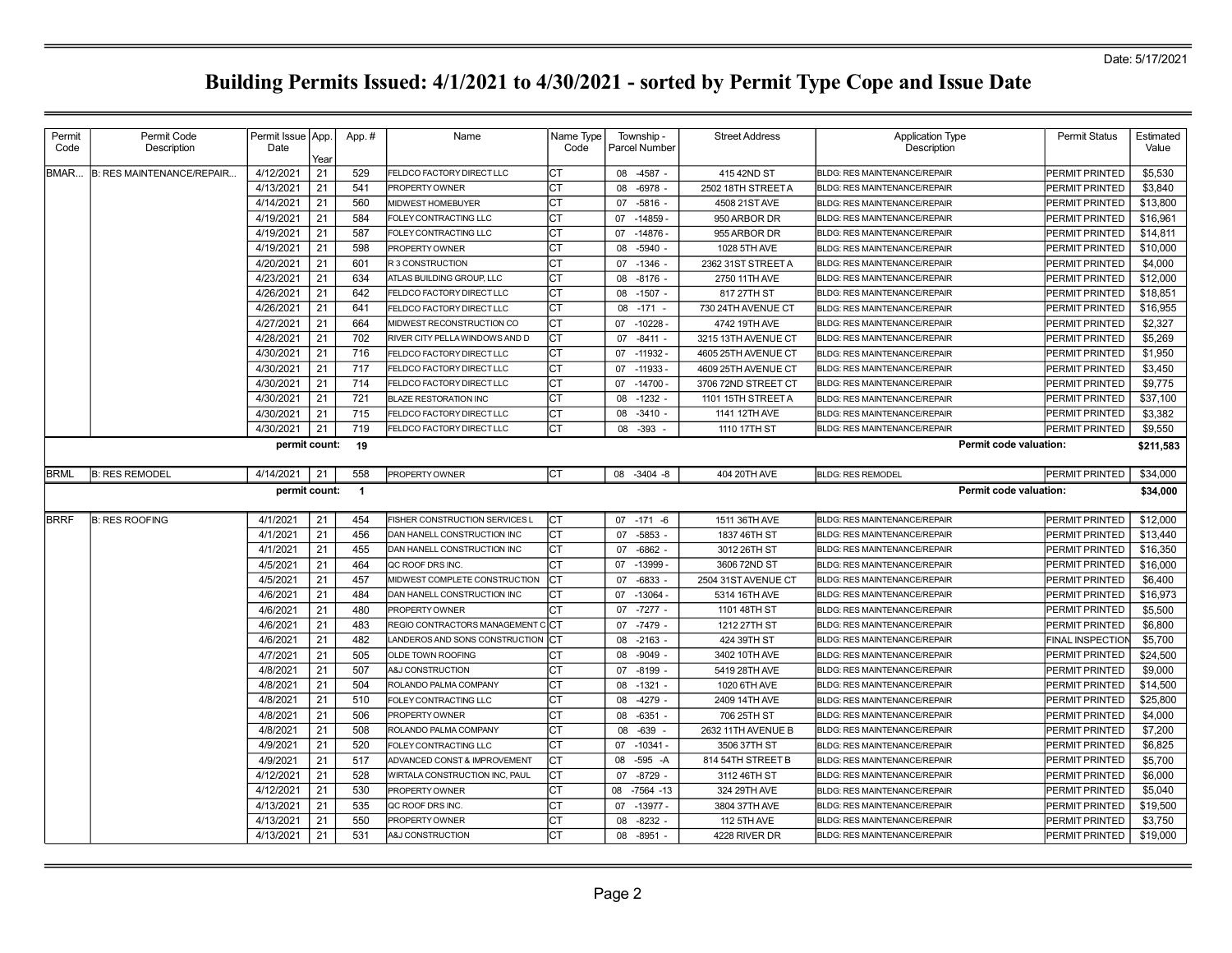| Permit      | Permit Code                      | Permit Issue   App.  |            | App.#          | Name                                           | Name Type | Township -                     | <b>Street Address</b>              | <b>Application Type</b>                                                    | Permit Status                    | Estimated          |
|-------------|----------------------------------|----------------------|------------|----------------|------------------------------------------------|-----------|--------------------------------|------------------------------------|----------------------------------------------------------------------------|----------------------------------|--------------------|
| Code        | Description                      | Date                 |            |                |                                                | Code      | Parcel Number                  |                                    | Description                                                                |                                  | Value              |
| BMAR        | <b>B: RES MAINTENANCE/REPAIR</b> | 4/12/2021            | Year<br>21 | 529            | FELDCO FACTORY DIRECT LLC                      | CТ        | 08 -4587 -                     | 415 42ND ST                        | <b>BLDG: RES MAINTENANCE/REPAIR</b>                                        | PERMIT PRINTED                   | \$5,530            |
|             |                                  | 4/13/2021            | 21         | 541            | PROPERTY OWNER                                 | CТ        | $-6978$<br>08                  | 2502 18TH STREET A                 | <b>BLDG: RES MAINTENANCE/REPAIR</b>                                        | <b>PERMIT PRINTED</b>            | \$3,840            |
|             |                                  | 4/14/2021            | 21         | 560            | MIDWEST HOMEBUYER                              | CТ        | 07<br>$-5816 -$                | 4508 21ST AVE                      | <b>BLDG: RES MAINTENANCE/REPAIR</b>                                        | PERMIT PRINTED                   | \$13,800           |
|             |                                  | 4/19/2021            | 21         | 584            | FOLEY CONTRACTING LLC                          | CТ        | $-14859 -$<br>07               | 950 ARBOR DR                       | <b>BLDG: RES MAINTENANCE/REPAIR</b>                                        | PERMIT PRINTED                   | \$16,961           |
|             |                                  | 4/19/2021            | 21         | 587            | FOLEY CONTRACTING LLC                          | СT        | $-14876-$<br>07                | 955 ARBOR DR                       | <b>BLDG: RES MAINTENANCE/REPAIR</b>                                        | PERMIT PRINTED                   | \$14,811           |
|             |                                  | 4/19/2021            | 21         | 598            | PROPERTY OWNER                                 | <b>CT</b> | $-5940 -$<br>08                | 1028 5TH AVE                       | <b>BLDG: RES MAINTENANCE/REPAIR</b>                                        | PERMIT PRINTED                   | \$10,000           |
|             |                                  | 4/20/2021            | 21         | 601            | <b>R3 CONSTRUCTION</b>                         | ĊТ        | $-1346$ -<br>07                | 2362 31ST STREET A                 | <b>BLDG: RES MAINTENANCE/REPAIR</b>                                        | PERMIT PRINTED                   | \$4,000            |
|             |                                  | 4/23/2021            | 21         | 634            | ATLAS BUILDING GROUP, LLC                      | СT        | 08<br>$-8176$ -                | 2750 11TH AVE                      | <b>BLDG: RES MAINTENANCE/REPAIR</b>                                        | PERMIT PRINTED                   | \$12,000           |
|             |                                  | 4/26/2021            | 21         | 642            | FELDCO FACTORY DIRECT LLC                      | СT        | 08<br>$-1507 -$                | 817 27TH ST                        | <b>BLDG: RES MAINTENANCE/REPAIR</b>                                        | PERMIT PRINTED                   | \$18,851           |
|             |                                  | 4/26/2021            | 21         | 641            | FELDCO FACTORY DIRECT LLC                      | CT        | 08<br>$-171 -$                 | 730 24TH AVENUE CT                 | <b>BLDG: RES MAINTENANCE/REPAIR</b>                                        | PERMIT PRINTED                   | \$16,955           |
|             |                                  | 4/27/2021            | 21         | 664            | MIDWEST RECONSTRUCTION CO                      | ĊТ        | $-10228 -$<br>07               | 4742 19TH AVE                      | <b>BLDG: RES MAINTENANCE/REPAIR</b>                                        | PERMIT PRINTED                   | \$2,327            |
|             |                                  | 4/28/2021            | 21         | 702            | RIVER CITY PELLA WINDOWS AND D                 | СT        | 07<br>$-8411 -$                | 3215 13TH AVENUE CT                | <b>BLDG: RES MAINTENANCE/REPAIR</b>                                        | PERMIT PRINTED                   | \$5,269            |
|             |                                  | 4/30/2021            | 21         | 716            | FELDCO FACTORY DIRECT LLC                      |           | $-11932 -$<br>07               | 4605 25TH AVENUE CT                | <b>BLDG: RES MAINTENANCE/REPAIR</b>                                        | PERMIT PRINTED                   | \$1,950            |
|             |                                  | 4/30/2021            | 21         | 717            | FELDCO FACTORY DIRECT LLC                      | СT        | 07<br>$-11933-$                | 4609 25TH AVENUE CT                | <b>BLDG: RES MAINTENANCE/REPAIR</b>                                        | PERMIT PRINTED                   | \$3,450            |
|             |                                  | 4/30/2021            | 21         | 714            | FELDCO FACTORY DIRECT LLC                      | СT        | $-14700 -$<br>07               | 3706 72ND STREET CT                | <b>BLDG: RES MAINTENANCE/REPAIR</b>                                        | PERMIT PRINTED                   | \$9,775            |
|             |                                  | 4/30/2021            | 21         | 721            | <b>BLAZE RESTORATION INC</b>                   | СT        | $-1232 -$<br>08                | 1101 15TH STREET A                 | <b>BLDG: RES MAINTENANCE/REPAIR</b>                                        | PERMIT PRINTED                   | \$37,100           |
|             |                                  | 4/30/2021            | 21         | 715            | FELDCO FACTORY DIRECT LLC                      | СT        | $-3410 -$<br>08                | 1141 12TH AVE                      | <b>BLDG: RES MAINTENANCE/REPAIR</b>                                        | PERMIT PRINTED                   | \$3,382            |
|             |                                  | 4/30/2021            | 21         | 719            | FELDCO FACTORY DIRECT LLC                      | СT        | 08 -393                        | 1110 17TH ST                       | <b>BLDG: RES MAINTENANCE/REPAIR</b>                                        | PERMIT PRINTED                   | \$9,550            |
|             |                                  | permit count:        |            | 19             |                                                |           |                                |                                    | Permit code valuation:                                                     |                                  | \$211,583          |
| <b>BRML</b> | <b>B: RES REMODEL</b>            | 4/14/2021            | 21         | 558            | PROPERTY OWNER                                 | Iст       | 08 -3404 -8                    | 404 20TH AVE                       | <b>BLDG: RES REMODEL</b>                                                   | PERMIT PRINTED                   | \$34,000           |
|             |                                  | permit count:        |            | $\overline{1}$ |                                                |           |                                |                                    | Permit code valuation:                                                     |                                  | \$34,000           |
| <b>BRRF</b> |                                  |                      |            |                |                                                |           |                                |                                    |                                                                            |                                  |                    |
|             |                                  |                      |            |                |                                                |           |                                |                                    |                                                                            |                                  |                    |
|             | <b>B: RES ROOFING</b>            | 4/1/2021             | 21         | 454            | FISHER CONSTRUCTION SERVICES L                 | Iст       | $-171 - 6$<br>07               | 1511 36TH AVE                      | <b>BLDG: RES MAINTENANCE/REPAIR</b>                                        | PERMIT PRINTED                   | \$12,000           |
|             |                                  | 4/1/2021             | 21         | 456            | DAN HANELL CONSTRUCTION INC                    | СT        | 07<br>$-5853 -$                | 1837 46TH ST                       | <b>BLDG: RES MAINTENANCE/REPAIR</b>                                        | PERMIT PRINTED                   | \$13,440           |
|             |                                  | 4/1/2021             | 21         | 455            | DAN HANELL CONSTRUCTION INC                    | СT        | $-6862 -$<br>07                | 3012 26TH ST                       | <b>BLDG: RES MAINTENANCE/REPAIR</b>                                        | PERMIT PRINTED                   | \$16,350           |
|             |                                  | 4/5/2021             | 21         | 464            | QC ROOF DRS INC.                               | CТ        | $-13999-$<br>07                | 3606 72ND ST                       | <b>BLDG: RES MAINTENANCE/REPAIR</b>                                        | PERMIT PRINTED                   | \$16,000           |
|             |                                  | 4/5/2021             | 21         | 457            | MIDWEST COMPLETE CONSTRUCTION                  | СT        | 07<br>$-6833$                  | 2504 31ST AVENUE CT                | <b>BLDG: RES MAINTENANCE/REPAIR</b>                                        | PERMIT PRINTED                   | \$6,400            |
|             |                                  | 4/6/2021             | 21         | 484            | DAN HANELL CONSTRUCTION INC                    | CТ        | $-13064 -$<br>07               | 5314 16TH AVE                      | <b>BLDG: RES MAINTENANCE/REPAIR</b>                                        | PERMIT PRINTED                   | \$16,973           |
|             |                                  | 4/6/2021             | 21         | 480            | PROPERTY OWNER                                 | СT        | 07<br>$-7277$ -                | 1101 48TH ST                       | <b>BLDG: RES MAINTENANCE/REPAIR</b>                                        | <b>PERMIT PRINTED</b>            | \$5,500            |
|             |                                  | 4/6/2021             | 21         | 483            | REGIO CONTRACTORS MANAGEMENT                   | Iст       | $-7479$ .<br>07                | 1212 27TH ST                       | <b>BLDG: RES MAINTENANCE/REPAIR</b>                                        | PERMIT PRINTED                   | \$6,800            |
|             |                                  | 4/6/2021             | 21         | 482            | LANDEROS AND SONS CONSTRUCTION                 |           | 08<br>$-2163$                  | 424 39TH ST                        | <b>BLDG: RES MAINTENANCE/REPAIR</b>                                        | <b>FINAL INSPECTION</b>          | \$5,700            |
|             |                                  | 4/7/2021             | 21         | 505            | OLDE TOWN ROOFING                              | CТ        | $-9049 -$<br>08                | 3402 10TH AVE                      | <b>BLDG: RES MAINTENANCE/REPAIR</b>                                        | PERMIT PRINTED                   | \$24,500           |
|             |                                  | 4/8/2021             | 21         | 507            | A&J CONSTRUCTION                               | СT        | $-8199$ .<br>07                | 5419 28TH AVE                      | <b>BLDG: RES MAINTENANCE/REPAIR</b>                                        | PERMIT PRINTED                   | \$9,000            |
|             |                                  | 4/8/2021             | 21         | 504            | ROLANDO PALMA COMPANY                          | СT        | $-1321 -$<br>08                | 1020 6TH AVE                       | <b>BLDG: RES MAINTENANCE/REPAIR</b>                                        | PERMIT PRINTED                   | \$14,500           |
|             |                                  | 4/8/2021             | 21         | 510            | FOLEY CONTRACTING LLC<br><b>PROPERTY OWNER</b> | CТ        | $-4279$ -<br>08                | 2409 14TH AVE                      | <b>BLDG: RES MAINTENANCE/REPAIR</b>                                        | PERMIT PRINTED                   | \$25,800           |
|             |                                  | 4/8/2021             | 21         | 506            |                                                | СT        | 08<br>$-6351 -$                | 706 25TH ST                        | <b>BLDG: RES MAINTENANCE/REPAIR</b>                                        | PERMIT PRINTED                   | \$4,000            |
|             |                                  | 4/8/2021<br>4/9/2021 | 21<br>21   | 508<br>520     | ROLANDO PALMA COMPANY<br>FOLEY CONTRACTING LLC | СT<br>СT  | $-639$<br>08<br>07<br>-10341 - | 2632 11TH AVENUE B<br>3506 37TH ST | <b>BLDG: RES MAINTENANCE/REPAIR</b><br><b>BLDG: RES MAINTENANCE/REPAIR</b> | PERMIT PRINTED<br>PERMIT PRINTED | \$7,200<br>\$6,825 |
|             |                                  | 4/9/2021             | 21         | 517            | ADVANCED CONST & IMPROVEMENT                   | CТ        | $-595 - A$<br>08               | 814 54TH STREET B                  | <b>BLDG: RES MAINTENANCE/REPAIR</b>                                        | PERMIT PRINTED                   | \$5,700            |
|             |                                  | 4/12/2021            | 21         | 528            | WIRTALA CONSTRUCTION INC, PAUL                 | СT        | 07<br>$-8729$ -                | 3112 46TH ST                       | <b>BLDG: RES MAINTENANCE/REPAIR</b>                                        | PERMIT PRINTED                   | \$6,000            |
|             |                                  | 4/12/2021            | 21         | 530            | PROPERTY OWNER                                 | СT        | $-7564 - 13$<br>08             | 324 29TH AVE                       | <b>BLDG: RES MAINTENANCE/REPAIR</b>                                        | PERMIT PRINTED                   | \$5,040            |
|             |                                  | 4/13/2021            | 21         | 535            | QC ROOF DRS INC.                               | СT        | $-13977 -$<br>07               | 3804 37TH AVE                      | <b>BLDG: RES MAINTENANCE/REPAIR</b>                                        | PERMIT PRINTED                   | \$19,500           |
|             |                                  | 4/13/2021            | 21         | 550            | PROPERTY OWNER                                 | CT        | $-8232 -$<br>08                | 112 5TH AVE                        | <b>BLDG: RES MAINTENANCE/REPAIR</b>                                        | PERMIT PRINTED                   | \$3,750            |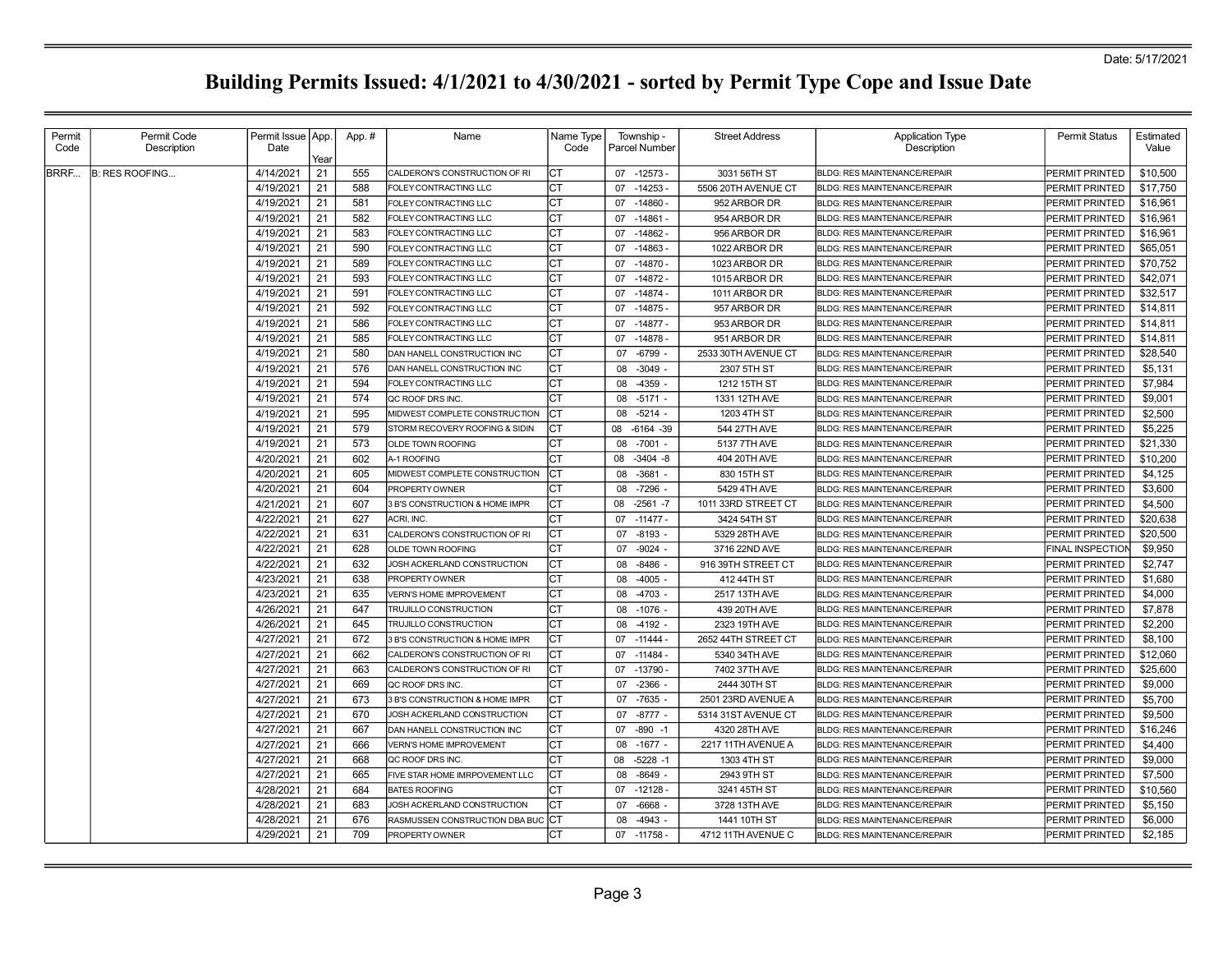| Permit<br>Permit Code<br>Name<br><b>Street Address</b><br><b>Application Type</b><br>Permit Issue   App.<br>App.#<br>Name Type<br>Township<br>Description<br>Code<br>Date<br>Code<br>Parcel Number<br>Description<br>Year<br>BRRF<br><b>B: RES ROOFING</b><br>4/14/2021<br>21<br>555<br>CALDERON'S CONSTRUCTION OF RI<br>IСТ<br>07 -12573 -<br>3031 56TH ST<br>PERMIT PRINTED<br><b>BLDG: RES MAINTENANCE/REPAIR</b><br>21<br>4/19/2021<br>588<br>СT<br>$-14253 -$<br>FOLEY CONTRACTING LLC<br>07<br>5506 20TH AVENUE CT<br><b>BLDG: RES MAINTENANCE/REPAIR</b><br>PERMIT PRINTED<br>4/19/2021<br>21<br>СT<br>$-14860$<br>952 ARBOR DR<br>581<br>07<br>PERMIT PRINTED<br>FOLEY CONTRACTING LLC<br><b>BLDG: RES MAINTENANCE/REPAIR</b><br>4/19/2021<br>21<br>582<br>СT<br>$-14861$<br>07<br>954 ARBOR DR<br>PERMIT PRINTED<br>FOLEY CONTRACTING LLC<br><b>BLDG: RES MAINTENANCE/REPAIR</b><br>4/19/2021<br>21<br>583<br><b>CT</b><br>FOLEY CONTRACTING LLC<br>07<br>$-14862$<br>956 ARBOR DR<br><b>BLDG: RES MAINTENANCE/REPAIR</b><br><b>PERMIT PRINTED</b><br>21<br>590<br>4/19/2021<br>СT<br>FOLEY CONTRACTING LLC<br>$-14863 -$<br>1022 ARBOR DR<br>PERMIT PRINTED<br>07<br><b>BLDG: RES MAINTENANCE/REPAIR</b><br>589<br>4/19/2021<br>21<br>СT<br>$-14870 -$<br>FOLEY CONTRACTING LLC<br>07<br>1023 ARBOR DR<br><b>BLDG: RES MAINTENANCE/REPAIR</b><br>PERMIT PRINTED<br>4/19/2021<br>21<br>593<br>Іст<br>$-14872-$<br>1015 ARBOR DR<br>PERMIT PRINTED<br>07<br>FOLEY CONTRACTING LLC<br><b>BLDG: RES MAINTENANCE/REPAIR</b><br>21<br>4/19/2021<br>591<br>Iст<br>$-14874-$<br>FOLEY CONTRACTING LLC<br>07<br>1011 ARBOR DR<br><b>BLDG: RES MAINTENANCE/REPAIR</b><br>PERMIT PRINTED<br>4/19/2021<br>21<br>592<br>СT<br>07<br>$-14875-$<br>FOLEY CONTRACTING LLC<br>957 ARBOR DR<br><b>BLDG: RES MAINTENANCE/REPAIR</b><br>PERMIT PRINTED<br>4/19/2021<br>21<br>586<br>СT<br>$-14877 -$<br>FOLEY CONTRACTING LLC<br>07<br>953 ARBOR DR<br><b>BLDG: RES MAINTENANCE/REPAIR</b><br>PERMIT PRINTED<br>4/19/2021<br>21<br>585<br>СT<br>$-14878 -$<br>07<br>951 ARBOR DR<br>PERMIT PRINTED<br>FOLEY CONTRACTING LLC<br><b>BLDG: RES MAINTENANCE/REPAIR</b><br>4/19/2021<br>21<br>580<br>СT<br>$-6799$<br>07<br>2533 30TH AVENUE CT<br>PERMIT PRINTED<br>DAN HANELL CONSTRUCTION INC<br><b>BLDG: RES MAINTENANCE/REPAIR</b><br>4/19/2021<br>21<br>576<br><b>CT</b><br>$-3049$<br>2307 5TH ST<br>DAN HANELL CONSTRUCTION INC<br>08<br><b>BLDG: RES MAINTENANCE/REPAIR</b><br><b>PERMIT PRINTED</b><br>21<br>594<br><b>CT</b><br>4/19/2021<br>FOLEY CONTRACTING LLC<br>$-4359 -$<br>1212 15TH ST<br>PERMIT PRINTED<br>08<br><b>IBLDG: RES MAINTENANCE/REPAIR</b><br>4/19/2021<br>21<br>574<br>СT<br>$-5171$ .<br>QC ROOF DRS INC.<br>08<br>1331 12TH AVE<br><b>BLDG: RES MAINTENANCE/REPAIR</b><br>PERMIT PRINTED<br>4/19/2021<br>21<br>595<br>ICT<br>$-5214 -$<br>1203 4TH ST<br>PERMIT PRINTED<br>MIDWEST COMPLETE CONSTRUCTION<br>08<br><b>BLDG: RES MAINTENANCE/REPAIR</b><br>21<br>4/19/2021<br>579<br>Iст<br>544 27TH AVE<br>STORM RECOVERY ROOFING & SIDIN<br>08<br>$-6164 - 39$<br><b>BLDG: RES MAINTENANCE/REPAIR</b><br>PERMIT PRINTED<br>4/19/2021<br>21<br>573<br>СT<br>$-7001 -$<br>5137 7TH AVE<br>OLDE TOWN ROOFING<br>08<br><b>BLDG: RES MAINTENANCE/REPAIR</b><br>PERMIT PRINTED<br>21<br>4/20/2021<br>602<br>СT<br>$-3404 - 8$<br>404 20TH AVE<br>A-1 ROOFING<br>08<br><b>BLDG: RES MAINTENANCE/REPAIR</b><br>PERMIT PRINTED<br>4/20/2021<br>21<br>605<br>Iст<br>$-3681$<br>830 15TH ST<br>MIDWEST COMPLETE CONSTRUCTION<br>08<br>BLDG: RES MAINTENANCE/REPAIR<br>PERMIT PRINTED<br>4/20/2021<br>21<br>604<br>CT<br>$-7296$<br>5429 4TH AVE<br>08<br>PERMIT PRINTED<br>PROPERTY OWNER<br><b>BLDG: RES MAINTENANCE/REPAIR</b><br>4/21/2021<br>21<br>607<br>CT<br>$-2561 - 7$<br>1011 33RD STREET CT<br>3 B'S CONSTRUCTION & HOME IMPR<br>08<br><b>BLDG: RES MAINTENANCE/REPAIR</b><br><b>PERMIT PRINTED</b><br>4/22/2021<br>21<br>627<br>CT<br>ACRI. INC.<br>$-11477 -$<br>3424 54TH ST<br><b>BLDG: RES MAINTENANCE/REPAIR</b><br>PERMIT PRINTED<br>07<br>4/22/2021<br>21<br>631<br>Iст<br>$-8193$ .<br>CALDERON'S CONSTRUCTION OF RI<br>07<br>5329 28TH AVE<br><b>BLDG: RES MAINTENANCE/REPAIR</b><br>PERMIT PRINTED<br>4/22/2021<br>21<br>628<br>СT<br>$-9024 -$<br>07<br>3716 22ND AVE<br><b>FINAL INSPECTION</b><br>OLDE TOWN ROOFING<br><b>BLDG: RES MAINTENANCE/REPAIR</b><br>4/22/2021<br>21<br>632<br>Iст<br>$-8486$<br>JOSH ACKERLAND CONSTRUCTION<br>08<br>916 39TH STREET CT<br><b>BLDG: RES MAINTENANCE/REPAIR</b><br>PERMIT PRINTED<br>4/23/2021<br>21<br>638<br>СT<br>$-4005$ .<br>412 44TH ST<br>PROPERTY OWNER<br>08<br><b>BLDG: RES MAINTENANCE/REPAIR</b><br>PERMIT PRINTED<br>4/23/2021<br>21<br>635<br>СT<br>$-4703$<br><b>VERN'S HOME IMPROVEMENT</b><br>08<br>2517 13TH AVE<br><b>BLDG: RES MAINTENANCE/REPAIR</b><br>PERMIT PRINTED<br>4/26/2021<br>21<br>СT<br>647<br>$-1076$<br>439 20TH AVE<br>TRUJILLO CONSTRUCTION<br>08<br>BLDG: RES MAINTENANCE/REPAIR<br>PERMIT PRINTED<br>4/26/2021<br>21<br>645<br>CT<br>$-4192$<br>2323 19TH AVE<br>08<br>PERMIT PRINTED<br>TRUJILLO CONSTRUCTION<br><b>BLDG: RES MAINTENANCE/REPAIR</b><br>4/27/2021<br>21<br>672<br>CT<br>$-11444$<br>2652 44TH STREET CT<br><b>3 B'S CONSTRUCTION &amp; HOME IMPR</b><br>07<br><b>BLDG: RES MAINTENANCE/REPAIR</b><br><b>PERMIT PRINTED</b><br>4/27/2021<br>21<br>662<br>СT<br>CALDERON'S CONSTRUCTION OF RI<br>$-11484-$<br>5340 34TH AVE<br><b>BLDG: RES MAINTENANCE/REPAIR</b><br>PERMIT PRINTED<br>07<br>4/27/2021<br>21<br>663<br>Iст<br>$-13790 -$<br>CALDERON'S CONSTRUCTION OF RI<br>07<br>7402 37TH AVE<br><b>BLDG: RES MAINTENANCE/REPAIR</b><br>PERMIT PRINTED<br>21<br>4/27/2021<br>669<br>СT<br>$-2366$ -<br>07<br>2444 30TH ST<br>PERMIT PRINTED<br>QC ROOF DRS INC.<br><b>BLDG: RES MAINTENANCE/REPAIR</b><br>4/27/2021<br>21<br>673<br>Iст<br>$-7635$<br>3 B'S CONSTRUCTION & HOME IMPR<br>07<br>2501 23RD AVENUE A<br><b>BLDG: RES MAINTENANCE/REPAIR</b><br>PERMIT PRINTED<br>4/27/2021<br>21<br>670<br><b>CT</b><br>$-8777 -$<br>5314 31ST AVENUE CT<br>JOSH ACKERLAND CONSTRUCTION<br>07<br><b>BLDG: RES MAINTENANCE/REPAIR</b><br>PERMIT PRINTED<br>21 | Permit Status<br>Estimated |
|----------------------------------------------------------------------------------------------------------------------------------------------------------------------------------------------------------------------------------------------------------------------------------------------------------------------------------------------------------------------------------------------------------------------------------------------------------------------------------------------------------------------------------------------------------------------------------------------------------------------------------------------------------------------------------------------------------------------------------------------------------------------------------------------------------------------------------------------------------------------------------------------------------------------------------------------------------------------------------------------------------------------------------------------------------------------------------------------------------------------------------------------------------------------------------------------------------------------------------------------------------------------------------------------------------------------------------------------------------------------------------------------------------------------------------------------------------------------------------------------------------------------------------------------------------------------------------------------------------------------------------------------------------------------------------------------------------------------------------------------------------------------------------------------------------------------------------------------------------------------------------------------------------------------------------------------------------------------------------------------------------------------------------------------------------------------------------------------------------------------------------------------------------------------------------------------------------------------------------------------------------------------------------------------------------------------------------------------------------------------------------------------------------------------------------------------------------------------------------------------------------------------------------------------------------------------------------------------------------------------------------------------------------------------------------------------------------------------------------------------------------------------------------------------------------------------------------------------------------------------------------------------------------------------------------------------------------------------------------------------------------------------------------------------------------------------------------------------------------------------------------------------------------------------------------------------------------------------------------------------------------------------------------------------------------------------------------------------------------------------------------------------------------------------------------------------------------------------------------------------------------------------------------------------------------------------------------------------------------------------------------------------------------------------------------------------------------------------------------------------------------------------------------------------------------------------------------------------------------------------------------------------------------------------------------------------------------------------------------------------------------------------------------------------------------------------------------------------------------------------------------------------------------------------------------------------------------------------------------------------------------------------------------------------------------------------------------------------------------------------------------------------------------------------------------------------------------------------------------------------------------------------------------------------------------------------------------------------------------------------------------------------------------------------------------------------------------------------------------------------------------------------------------------------------------------------------------------------------------------------------------------------------------------------------------------------------------------------------------------------------------------------------------------------------------------------------------------------------------------------------------------------------------------------------------------------------------------------------------------------------------------------------------------------------------------------------------------------------------------------------------------------------------------------------------------------------------------------------------------------------------------------------------------------------------------------------------------------------------------------------------------------------------------------------------------------------------------------------------------------------------------------------------------------------------------------------------------------------------------------------------------------------------------------------------------------------------------------------------------------------------------------------------------------------------------------------------------------------------------------------------------------------------------------------------------------|----------------------------|
|                                                                                                                                                                                                                                                                                                                                                                                                                                                                                                                                                                                                                                                                                                                                                                                                                                                                                                                                                                                                                                                                                                                                                                                                                                                                                                                                                                                                                                                                                                                                                                                                                                                                                                                                                                                                                                                                                                                                                                                                                                                                                                                                                                                                                                                                                                                                                                                                                                                                                                                                                                                                                                                                                                                                                                                                                                                                                                                                                                                                                                                                                                                                                                                                                                                                                                                                                                                                                                                                                                                                                                                                                                                                                                                                                                                                                                                                                                                                                                                                                                                                                                                                                                                                                                                                                                                                                                                                                                                                                                                                                                                                                                                                                                                                                                                                                                                                                                                                                                                                                                                                                                                                                                                                                                                                                                                                                                                                                                                                                                                                                                                                                                                                                                                                                                                                                                                                                                                                                                                                                                                                                                                                                                                              | Value                      |
|                                                                                                                                                                                                                                                                                                                                                                                                                                                                                                                                                                                                                                                                                                                                                                                                                                                                                                                                                                                                                                                                                                                                                                                                                                                                                                                                                                                                                                                                                                                                                                                                                                                                                                                                                                                                                                                                                                                                                                                                                                                                                                                                                                                                                                                                                                                                                                                                                                                                                                                                                                                                                                                                                                                                                                                                                                                                                                                                                                                                                                                                                                                                                                                                                                                                                                                                                                                                                                                                                                                                                                                                                                                                                                                                                                                                                                                                                                                                                                                                                                                                                                                                                                                                                                                                                                                                                                                                                                                                                                                                                                                                                                                                                                                                                                                                                                                                                                                                                                                                                                                                                                                                                                                                                                                                                                                                                                                                                                                                                                                                                                                                                                                                                                                                                                                                                                                                                                                                                                                                                                                                                                                                                                                              | \$10,500                   |
|                                                                                                                                                                                                                                                                                                                                                                                                                                                                                                                                                                                                                                                                                                                                                                                                                                                                                                                                                                                                                                                                                                                                                                                                                                                                                                                                                                                                                                                                                                                                                                                                                                                                                                                                                                                                                                                                                                                                                                                                                                                                                                                                                                                                                                                                                                                                                                                                                                                                                                                                                                                                                                                                                                                                                                                                                                                                                                                                                                                                                                                                                                                                                                                                                                                                                                                                                                                                                                                                                                                                                                                                                                                                                                                                                                                                                                                                                                                                                                                                                                                                                                                                                                                                                                                                                                                                                                                                                                                                                                                                                                                                                                                                                                                                                                                                                                                                                                                                                                                                                                                                                                                                                                                                                                                                                                                                                                                                                                                                                                                                                                                                                                                                                                                                                                                                                                                                                                                                                                                                                                                                                                                                                                                              | \$17,750                   |
|                                                                                                                                                                                                                                                                                                                                                                                                                                                                                                                                                                                                                                                                                                                                                                                                                                                                                                                                                                                                                                                                                                                                                                                                                                                                                                                                                                                                                                                                                                                                                                                                                                                                                                                                                                                                                                                                                                                                                                                                                                                                                                                                                                                                                                                                                                                                                                                                                                                                                                                                                                                                                                                                                                                                                                                                                                                                                                                                                                                                                                                                                                                                                                                                                                                                                                                                                                                                                                                                                                                                                                                                                                                                                                                                                                                                                                                                                                                                                                                                                                                                                                                                                                                                                                                                                                                                                                                                                                                                                                                                                                                                                                                                                                                                                                                                                                                                                                                                                                                                                                                                                                                                                                                                                                                                                                                                                                                                                                                                                                                                                                                                                                                                                                                                                                                                                                                                                                                                                                                                                                                                                                                                                                                              | \$16,961                   |
|                                                                                                                                                                                                                                                                                                                                                                                                                                                                                                                                                                                                                                                                                                                                                                                                                                                                                                                                                                                                                                                                                                                                                                                                                                                                                                                                                                                                                                                                                                                                                                                                                                                                                                                                                                                                                                                                                                                                                                                                                                                                                                                                                                                                                                                                                                                                                                                                                                                                                                                                                                                                                                                                                                                                                                                                                                                                                                                                                                                                                                                                                                                                                                                                                                                                                                                                                                                                                                                                                                                                                                                                                                                                                                                                                                                                                                                                                                                                                                                                                                                                                                                                                                                                                                                                                                                                                                                                                                                                                                                                                                                                                                                                                                                                                                                                                                                                                                                                                                                                                                                                                                                                                                                                                                                                                                                                                                                                                                                                                                                                                                                                                                                                                                                                                                                                                                                                                                                                                                                                                                                                                                                                                                                              | \$16,961                   |
|                                                                                                                                                                                                                                                                                                                                                                                                                                                                                                                                                                                                                                                                                                                                                                                                                                                                                                                                                                                                                                                                                                                                                                                                                                                                                                                                                                                                                                                                                                                                                                                                                                                                                                                                                                                                                                                                                                                                                                                                                                                                                                                                                                                                                                                                                                                                                                                                                                                                                                                                                                                                                                                                                                                                                                                                                                                                                                                                                                                                                                                                                                                                                                                                                                                                                                                                                                                                                                                                                                                                                                                                                                                                                                                                                                                                                                                                                                                                                                                                                                                                                                                                                                                                                                                                                                                                                                                                                                                                                                                                                                                                                                                                                                                                                                                                                                                                                                                                                                                                                                                                                                                                                                                                                                                                                                                                                                                                                                                                                                                                                                                                                                                                                                                                                                                                                                                                                                                                                                                                                                                                                                                                                                                              | \$16.961                   |
|                                                                                                                                                                                                                                                                                                                                                                                                                                                                                                                                                                                                                                                                                                                                                                                                                                                                                                                                                                                                                                                                                                                                                                                                                                                                                                                                                                                                                                                                                                                                                                                                                                                                                                                                                                                                                                                                                                                                                                                                                                                                                                                                                                                                                                                                                                                                                                                                                                                                                                                                                                                                                                                                                                                                                                                                                                                                                                                                                                                                                                                                                                                                                                                                                                                                                                                                                                                                                                                                                                                                                                                                                                                                                                                                                                                                                                                                                                                                                                                                                                                                                                                                                                                                                                                                                                                                                                                                                                                                                                                                                                                                                                                                                                                                                                                                                                                                                                                                                                                                                                                                                                                                                                                                                                                                                                                                                                                                                                                                                                                                                                                                                                                                                                                                                                                                                                                                                                                                                                                                                                                                                                                                                                                              | \$65,051                   |
|                                                                                                                                                                                                                                                                                                                                                                                                                                                                                                                                                                                                                                                                                                                                                                                                                                                                                                                                                                                                                                                                                                                                                                                                                                                                                                                                                                                                                                                                                                                                                                                                                                                                                                                                                                                                                                                                                                                                                                                                                                                                                                                                                                                                                                                                                                                                                                                                                                                                                                                                                                                                                                                                                                                                                                                                                                                                                                                                                                                                                                                                                                                                                                                                                                                                                                                                                                                                                                                                                                                                                                                                                                                                                                                                                                                                                                                                                                                                                                                                                                                                                                                                                                                                                                                                                                                                                                                                                                                                                                                                                                                                                                                                                                                                                                                                                                                                                                                                                                                                                                                                                                                                                                                                                                                                                                                                                                                                                                                                                                                                                                                                                                                                                                                                                                                                                                                                                                                                                                                                                                                                                                                                                                                              | \$70,752                   |
|                                                                                                                                                                                                                                                                                                                                                                                                                                                                                                                                                                                                                                                                                                                                                                                                                                                                                                                                                                                                                                                                                                                                                                                                                                                                                                                                                                                                                                                                                                                                                                                                                                                                                                                                                                                                                                                                                                                                                                                                                                                                                                                                                                                                                                                                                                                                                                                                                                                                                                                                                                                                                                                                                                                                                                                                                                                                                                                                                                                                                                                                                                                                                                                                                                                                                                                                                                                                                                                                                                                                                                                                                                                                                                                                                                                                                                                                                                                                                                                                                                                                                                                                                                                                                                                                                                                                                                                                                                                                                                                                                                                                                                                                                                                                                                                                                                                                                                                                                                                                                                                                                                                                                                                                                                                                                                                                                                                                                                                                                                                                                                                                                                                                                                                                                                                                                                                                                                                                                                                                                                                                                                                                                                                              | \$42,071                   |
|                                                                                                                                                                                                                                                                                                                                                                                                                                                                                                                                                                                                                                                                                                                                                                                                                                                                                                                                                                                                                                                                                                                                                                                                                                                                                                                                                                                                                                                                                                                                                                                                                                                                                                                                                                                                                                                                                                                                                                                                                                                                                                                                                                                                                                                                                                                                                                                                                                                                                                                                                                                                                                                                                                                                                                                                                                                                                                                                                                                                                                                                                                                                                                                                                                                                                                                                                                                                                                                                                                                                                                                                                                                                                                                                                                                                                                                                                                                                                                                                                                                                                                                                                                                                                                                                                                                                                                                                                                                                                                                                                                                                                                                                                                                                                                                                                                                                                                                                                                                                                                                                                                                                                                                                                                                                                                                                                                                                                                                                                                                                                                                                                                                                                                                                                                                                                                                                                                                                                                                                                                                                                                                                                                                              | \$32,517                   |
|                                                                                                                                                                                                                                                                                                                                                                                                                                                                                                                                                                                                                                                                                                                                                                                                                                                                                                                                                                                                                                                                                                                                                                                                                                                                                                                                                                                                                                                                                                                                                                                                                                                                                                                                                                                                                                                                                                                                                                                                                                                                                                                                                                                                                                                                                                                                                                                                                                                                                                                                                                                                                                                                                                                                                                                                                                                                                                                                                                                                                                                                                                                                                                                                                                                                                                                                                                                                                                                                                                                                                                                                                                                                                                                                                                                                                                                                                                                                                                                                                                                                                                                                                                                                                                                                                                                                                                                                                                                                                                                                                                                                                                                                                                                                                                                                                                                                                                                                                                                                                                                                                                                                                                                                                                                                                                                                                                                                                                                                                                                                                                                                                                                                                                                                                                                                                                                                                                                                                                                                                                                                                                                                                                                              | \$14,811                   |
|                                                                                                                                                                                                                                                                                                                                                                                                                                                                                                                                                                                                                                                                                                                                                                                                                                                                                                                                                                                                                                                                                                                                                                                                                                                                                                                                                                                                                                                                                                                                                                                                                                                                                                                                                                                                                                                                                                                                                                                                                                                                                                                                                                                                                                                                                                                                                                                                                                                                                                                                                                                                                                                                                                                                                                                                                                                                                                                                                                                                                                                                                                                                                                                                                                                                                                                                                                                                                                                                                                                                                                                                                                                                                                                                                                                                                                                                                                                                                                                                                                                                                                                                                                                                                                                                                                                                                                                                                                                                                                                                                                                                                                                                                                                                                                                                                                                                                                                                                                                                                                                                                                                                                                                                                                                                                                                                                                                                                                                                                                                                                                                                                                                                                                                                                                                                                                                                                                                                                                                                                                                                                                                                                                                              | \$14,811                   |
|                                                                                                                                                                                                                                                                                                                                                                                                                                                                                                                                                                                                                                                                                                                                                                                                                                                                                                                                                                                                                                                                                                                                                                                                                                                                                                                                                                                                                                                                                                                                                                                                                                                                                                                                                                                                                                                                                                                                                                                                                                                                                                                                                                                                                                                                                                                                                                                                                                                                                                                                                                                                                                                                                                                                                                                                                                                                                                                                                                                                                                                                                                                                                                                                                                                                                                                                                                                                                                                                                                                                                                                                                                                                                                                                                                                                                                                                                                                                                                                                                                                                                                                                                                                                                                                                                                                                                                                                                                                                                                                                                                                                                                                                                                                                                                                                                                                                                                                                                                                                                                                                                                                                                                                                                                                                                                                                                                                                                                                                                                                                                                                                                                                                                                                                                                                                                                                                                                                                                                                                                                                                                                                                                                                              | \$14,811                   |
|                                                                                                                                                                                                                                                                                                                                                                                                                                                                                                                                                                                                                                                                                                                                                                                                                                                                                                                                                                                                                                                                                                                                                                                                                                                                                                                                                                                                                                                                                                                                                                                                                                                                                                                                                                                                                                                                                                                                                                                                                                                                                                                                                                                                                                                                                                                                                                                                                                                                                                                                                                                                                                                                                                                                                                                                                                                                                                                                                                                                                                                                                                                                                                                                                                                                                                                                                                                                                                                                                                                                                                                                                                                                                                                                                                                                                                                                                                                                                                                                                                                                                                                                                                                                                                                                                                                                                                                                                                                                                                                                                                                                                                                                                                                                                                                                                                                                                                                                                                                                                                                                                                                                                                                                                                                                                                                                                                                                                                                                                                                                                                                                                                                                                                                                                                                                                                                                                                                                                                                                                                                                                                                                                                                              | \$28,540                   |
|                                                                                                                                                                                                                                                                                                                                                                                                                                                                                                                                                                                                                                                                                                                                                                                                                                                                                                                                                                                                                                                                                                                                                                                                                                                                                                                                                                                                                                                                                                                                                                                                                                                                                                                                                                                                                                                                                                                                                                                                                                                                                                                                                                                                                                                                                                                                                                                                                                                                                                                                                                                                                                                                                                                                                                                                                                                                                                                                                                                                                                                                                                                                                                                                                                                                                                                                                                                                                                                                                                                                                                                                                                                                                                                                                                                                                                                                                                                                                                                                                                                                                                                                                                                                                                                                                                                                                                                                                                                                                                                                                                                                                                                                                                                                                                                                                                                                                                                                                                                                                                                                                                                                                                                                                                                                                                                                                                                                                                                                                                                                                                                                                                                                                                                                                                                                                                                                                                                                                                                                                                                                                                                                                                                              | \$5,131                    |
|                                                                                                                                                                                                                                                                                                                                                                                                                                                                                                                                                                                                                                                                                                                                                                                                                                                                                                                                                                                                                                                                                                                                                                                                                                                                                                                                                                                                                                                                                                                                                                                                                                                                                                                                                                                                                                                                                                                                                                                                                                                                                                                                                                                                                                                                                                                                                                                                                                                                                                                                                                                                                                                                                                                                                                                                                                                                                                                                                                                                                                                                                                                                                                                                                                                                                                                                                                                                                                                                                                                                                                                                                                                                                                                                                                                                                                                                                                                                                                                                                                                                                                                                                                                                                                                                                                                                                                                                                                                                                                                                                                                                                                                                                                                                                                                                                                                                                                                                                                                                                                                                                                                                                                                                                                                                                                                                                                                                                                                                                                                                                                                                                                                                                                                                                                                                                                                                                                                                                                                                                                                                                                                                                                                              | \$7,984                    |
|                                                                                                                                                                                                                                                                                                                                                                                                                                                                                                                                                                                                                                                                                                                                                                                                                                                                                                                                                                                                                                                                                                                                                                                                                                                                                                                                                                                                                                                                                                                                                                                                                                                                                                                                                                                                                                                                                                                                                                                                                                                                                                                                                                                                                                                                                                                                                                                                                                                                                                                                                                                                                                                                                                                                                                                                                                                                                                                                                                                                                                                                                                                                                                                                                                                                                                                                                                                                                                                                                                                                                                                                                                                                                                                                                                                                                                                                                                                                                                                                                                                                                                                                                                                                                                                                                                                                                                                                                                                                                                                                                                                                                                                                                                                                                                                                                                                                                                                                                                                                                                                                                                                                                                                                                                                                                                                                                                                                                                                                                                                                                                                                                                                                                                                                                                                                                                                                                                                                                                                                                                                                                                                                                                                              | \$9,001                    |
|                                                                                                                                                                                                                                                                                                                                                                                                                                                                                                                                                                                                                                                                                                                                                                                                                                                                                                                                                                                                                                                                                                                                                                                                                                                                                                                                                                                                                                                                                                                                                                                                                                                                                                                                                                                                                                                                                                                                                                                                                                                                                                                                                                                                                                                                                                                                                                                                                                                                                                                                                                                                                                                                                                                                                                                                                                                                                                                                                                                                                                                                                                                                                                                                                                                                                                                                                                                                                                                                                                                                                                                                                                                                                                                                                                                                                                                                                                                                                                                                                                                                                                                                                                                                                                                                                                                                                                                                                                                                                                                                                                                                                                                                                                                                                                                                                                                                                                                                                                                                                                                                                                                                                                                                                                                                                                                                                                                                                                                                                                                                                                                                                                                                                                                                                                                                                                                                                                                                                                                                                                                                                                                                                                                              | \$2,500                    |
|                                                                                                                                                                                                                                                                                                                                                                                                                                                                                                                                                                                                                                                                                                                                                                                                                                                                                                                                                                                                                                                                                                                                                                                                                                                                                                                                                                                                                                                                                                                                                                                                                                                                                                                                                                                                                                                                                                                                                                                                                                                                                                                                                                                                                                                                                                                                                                                                                                                                                                                                                                                                                                                                                                                                                                                                                                                                                                                                                                                                                                                                                                                                                                                                                                                                                                                                                                                                                                                                                                                                                                                                                                                                                                                                                                                                                                                                                                                                                                                                                                                                                                                                                                                                                                                                                                                                                                                                                                                                                                                                                                                                                                                                                                                                                                                                                                                                                                                                                                                                                                                                                                                                                                                                                                                                                                                                                                                                                                                                                                                                                                                                                                                                                                                                                                                                                                                                                                                                                                                                                                                                                                                                                                                              | \$5,225                    |
|                                                                                                                                                                                                                                                                                                                                                                                                                                                                                                                                                                                                                                                                                                                                                                                                                                                                                                                                                                                                                                                                                                                                                                                                                                                                                                                                                                                                                                                                                                                                                                                                                                                                                                                                                                                                                                                                                                                                                                                                                                                                                                                                                                                                                                                                                                                                                                                                                                                                                                                                                                                                                                                                                                                                                                                                                                                                                                                                                                                                                                                                                                                                                                                                                                                                                                                                                                                                                                                                                                                                                                                                                                                                                                                                                                                                                                                                                                                                                                                                                                                                                                                                                                                                                                                                                                                                                                                                                                                                                                                                                                                                                                                                                                                                                                                                                                                                                                                                                                                                                                                                                                                                                                                                                                                                                                                                                                                                                                                                                                                                                                                                                                                                                                                                                                                                                                                                                                                                                                                                                                                                                                                                                                                              | \$21,330                   |
|                                                                                                                                                                                                                                                                                                                                                                                                                                                                                                                                                                                                                                                                                                                                                                                                                                                                                                                                                                                                                                                                                                                                                                                                                                                                                                                                                                                                                                                                                                                                                                                                                                                                                                                                                                                                                                                                                                                                                                                                                                                                                                                                                                                                                                                                                                                                                                                                                                                                                                                                                                                                                                                                                                                                                                                                                                                                                                                                                                                                                                                                                                                                                                                                                                                                                                                                                                                                                                                                                                                                                                                                                                                                                                                                                                                                                                                                                                                                                                                                                                                                                                                                                                                                                                                                                                                                                                                                                                                                                                                                                                                                                                                                                                                                                                                                                                                                                                                                                                                                                                                                                                                                                                                                                                                                                                                                                                                                                                                                                                                                                                                                                                                                                                                                                                                                                                                                                                                                                                                                                                                                                                                                                                                              | \$10,200                   |
|                                                                                                                                                                                                                                                                                                                                                                                                                                                                                                                                                                                                                                                                                                                                                                                                                                                                                                                                                                                                                                                                                                                                                                                                                                                                                                                                                                                                                                                                                                                                                                                                                                                                                                                                                                                                                                                                                                                                                                                                                                                                                                                                                                                                                                                                                                                                                                                                                                                                                                                                                                                                                                                                                                                                                                                                                                                                                                                                                                                                                                                                                                                                                                                                                                                                                                                                                                                                                                                                                                                                                                                                                                                                                                                                                                                                                                                                                                                                                                                                                                                                                                                                                                                                                                                                                                                                                                                                                                                                                                                                                                                                                                                                                                                                                                                                                                                                                                                                                                                                                                                                                                                                                                                                                                                                                                                                                                                                                                                                                                                                                                                                                                                                                                                                                                                                                                                                                                                                                                                                                                                                                                                                                                                              | \$4,125                    |
|                                                                                                                                                                                                                                                                                                                                                                                                                                                                                                                                                                                                                                                                                                                                                                                                                                                                                                                                                                                                                                                                                                                                                                                                                                                                                                                                                                                                                                                                                                                                                                                                                                                                                                                                                                                                                                                                                                                                                                                                                                                                                                                                                                                                                                                                                                                                                                                                                                                                                                                                                                                                                                                                                                                                                                                                                                                                                                                                                                                                                                                                                                                                                                                                                                                                                                                                                                                                                                                                                                                                                                                                                                                                                                                                                                                                                                                                                                                                                                                                                                                                                                                                                                                                                                                                                                                                                                                                                                                                                                                                                                                                                                                                                                                                                                                                                                                                                                                                                                                                                                                                                                                                                                                                                                                                                                                                                                                                                                                                                                                                                                                                                                                                                                                                                                                                                                                                                                                                                                                                                                                                                                                                                                                              | \$3,600                    |
|                                                                                                                                                                                                                                                                                                                                                                                                                                                                                                                                                                                                                                                                                                                                                                                                                                                                                                                                                                                                                                                                                                                                                                                                                                                                                                                                                                                                                                                                                                                                                                                                                                                                                                                                                                                                                                                                                                                                                                                                                                                                                                                                                                                                                                                                                                                                                                                                                                                                                                                                                                                                                                                                                                                                                                                                                                                                                                                                                                                                                                                                                                                                                                                                                                                                                                                                                                                                                                                                                                                                                                                                                                                                                                                                                                                                                                                                                                                                                                                                                                                                                                                                                                                                                                                                                                                                                                                                                                                                                                                                                                                                                                                                                                                                                                                                                                                                                                                                                                                                                                                                                                                                                                                                                                                                                                                                                                                                                                                                                                                                                                                                                                                                                                                                                                                                                                                                                                                                                                                                                                                                                                                                                                                              | \$4,500                    |
|                                                                                                                                                                                                                                                                                                                                                                                                                                                                                                                                                                                                                                                                                                                                                                                                                                                                                                                                                                                                                                                                                                                                                                                                                                                                                                                                                                                                                                                                                                                                                                                                                                                                                                                                                                                                                                                                                                                                                                                                                                                                                                                                                                                                                                                                                                                                                                                                                                                                                                                                                                                                                                                                                                                                                                                                                                                                                                                                                                                                                                                                                                                                                                                                                                                                                                                                                                                                                                                                                                                                                                                                                                                                                                                                                                                                                                                                                                                                                                                                                                                                                                                                                                                                                                                                                                                                                                                                                                                                                                                                                                                                                                                                                                                                                                                                                                                                                                                                                                                                                                                                                                                                                                                                                                                                                                                                                                                                                                                                                                                                                                                                                                                                                                                                                                                                                                                                                                                                                                                                                                                                                                                                                                                              | \$20,638                   |
|                                                                                                                                                                                                                                                                                                                                                                                                                                                                                                                                                                                                                                                                                                                                                                                                                                                                                                                                                                                                                                                                                                                                                                                                                                                                                                                                                                                                                                                                                                                                                                                                                                                                                                                                                                                                                                                                                                                                                                                                                                                                                                                                                                                                                                                                                                                                                                                                                                                                                                                                                                                                                                                                                                                                                                                                                                                                                                                                                                                                                                                                                                                                                                                                                                                                                                                                                                                                                                                                                                                                                                                                                                                                                                                                                                                                                                                                                                                                                                                                                                                                                                                                                                                                                                                                                                                                                                                                                                                                                                                                                                                                                                                                                                                                                                                                                                                                                                                                                                                                                                                                                                                                                                                                                                                                                                                                                                                                                                                                                                                                                                                                                                                                                                                                                                                                                                                                                                                                                                                                                                                                                                                                                                                              | \$20,500                   |
|                                                                                                                                                                                                                                                                                                                                                                                                                                                                                                                                                                                                                                                                                                                                                                                                                                                                                                                                                                                                                                                                                                                                                                                                                                                                                                                                                                                                                                                                                                                                                                                                                                                                                                                                                                                                                                                                                                                                                                                                                                                                                                                                                                                                                                                                                                                                                                                                                                                                                                                                                                                                                                                                                                                                                                                                                                                                                                                                                                                                                                                                                                                                                                                                                                                                                                                                                                                                                                                                                                                                                                                                                                                                                                                                                                                                                                                                                                                                                                                                                                                                                                                                                                                                                                                                                                                                                                                                                                                                                                                                                                                                                                                                                                                                                                                                                                                                                                                                                                                                                                                                                                                                                                                                                                                                                                                                                                                                                                                                                                                                                                                                                                                                                                                                                                                                                                                                                                                                                                                                                                                                                                                                                                                              | \$9,950                    |
|                                                                                                                                                                                                                                                                                                                                                                                                                                                                                                                                                                                                                                                                                                                                                                                                                                                                                                                                                                                                                                                                                                                                                                                                                                                                                                                                                                                                                                                                                                                                                                                                                                                                                                                                                                                                                                                                                                                                                                                                                                                                                                                                                                                                                                                                                                                                                                                                                                                                                                                                                                                                                                                                                                                                                                                                                                                                                                                                                                                                                                                                                                                                                                                                                                                                                                                                                                                                                                                                                                                                                                                                                                                                                                                                                                                                                                                                                                                                                                                                                                                                                                                                                                                                                                                                                                                                                                                                                                                                                                                                                                                                                                                                                                                                                                                                                                                                                                                                                                                                                                                                                                                                                                                                                                                                                                                                                                                                                                                                                                                                                                                                                                                                                                                                                                                                                                                                                                                                                                                                                                                                                                                                                                                              | \$2,747                    |
|                                                                                                                                                                                                                                                                                                                                                                                                                                                                                                                                                                                                                                                                                                                                                                                                                                                                                                                                                                                                                                                                                                                                                                                                                                                                                                                                                                                                                                                                                                                                                                                                                                                                                                                                                                                                                                                                                                                                                                                                                                                                                                                                                                                                                                                                                                                                                                                                                                                                                                                                                                                                                                                                                                                                                                                                                                                                                                                                                                                                                                                                                                                                                                                                                                                                                                                                                                                                                                                                                                                                                                                                                                                                                                                                                                                                                                                                                                                                                                                                                                                                                                                                                                                                                                                                                                                                                                                                                                                                                                                                                                                                                                                                                                                                                                                                                                                                                                                                                                                                                                                                                                                                                                                                                                                                                                                                                                                                                                                                                                                                                                                                                                                                                                                                                                                                                                                                                                                                                                                                                                                                                                                                                                                              | \$1,680                    |
|                                                                                                                                                                                                                                                                                                                                                                                                                                                                                                                                                                                                                                                                                                                                                                                                                                                                                                                                                                                                                                                                                                                                                                                                                                                                                                                                                                                                                                                                                                                                                                                                                                                                                                                                                                                                                                                                                                                                                                                                                                                                                                                                                                                                                                                                                                                                                                                                                                                                                                                                                                                                                                                                                                                                                                                                                                                                                                                                                                                                                                                                                                                                                                                                                                                                                                                                                                                                                                                                                                                                                                                                                                                                                                                                                                                                                                                                                                                                                                                                                                                                                                                                                                                                                                                                                                                                                                                                                                                                                                                                                                                                                                                                                                                                                                                                                                                                                                                                                                                                                                                                                                                                                                                                                                                                                                                                                                                                                                                                                                                                                                                                                                                                                                                                                                                                                                                                                                                                                                                                                                                                                                                                                                                              | \$4,000                    |
|                                                                                                                                                                                                                                                                                                                                                                                                                                                                                                                                                                                                                                                                                                                                                                                                                                                                                                                                                                                                                                                                                                                                                                                                                                                                                                                                                                                                                                                                                                                                                                                                                                                                                                                                                                                                                                                                                                                                                                                                                                                                                                                                                                                                                                                                                                                                                                                                                                                                                                                                                                                                                                                                                                                                                                                                                                                                                                                                                                                                                                                                                                                                                                                                                                                                                                                                                                                                                                                                                                                                                                                                                                                                                                                                                                                                                                                                                                                                                                                                                                                                                                                                                                                                                                                                                                                                                                                                                                                                                                                                                                                                                                                                                                                                                                                                                                                                                                                                                                                                                                                                                                                                                                                                                                                                                                                                                                                                                                                                                                                                                                                                                                                                                                                                                                                                                                                                                                                                                                                                                                                                                                                                                                                              | \$7,878                    |
|                                                                                                                                                                                                                                                                                                                                                                                                                                                                                                                                                                                                                                                                                                                                                                                                                                                                                                                                                                                                                                                                                                                                                                                                                                                                                                                                                                                                                                                                                                                                                                                                                                                                                                                                                                                                                                                                                                                                                                                                                                                                                                                                                                                                                                                                                                                                                                                                                                                                                                                                                                                                                                                                                                                                                                                                                                                                                                                                                                                                                                                                                                                                                                                                                                                                                                                                                                                                                                                                                                                                                                                                                                                                                                                                                                                                                                                                                                                                                                                                                                                                                                                                                                                                                                                                                                                                                                                                                                                                                                                                                                                                                                                                                                                                                                                                                                                                                                                                                                                                                                                                                                                                                                                                                                                                                                                                                                                                                                                                                                                                                                                                                                                                                                                                                                                                                                                                                                                                                                                                                                                                                                                                                                                              | \$2,200                    |
|                                                                                                                                                                                                                                                                                                                                                                                                                                                                                                                                                                                                                                                                                                                                                                                                                                                                                                                                                                                                                                                                                                                                                                                                                                                                                                                                                                                                                                                                                                                                                                                                                                                                                                                                                                                                                                                                                                                                                                                                                                                                                                                                                                                                                                                                                                                                                                                                                                                                                                                                                                                                                                                                                                                                                                                                                                                                                                                                                                                                                                                                                                                                                                                                                                                                                                                                                                                                                                                                                                                                                                                                                                                                                                                                                                                                                                                                                                                                                                                                                                                                                                                                                                                                                                                                                                                                                                                                                                                                                                                                                                                                                                                                                                                                                                                                                                                                                                                                                                                                                                                                                                                                                                                                                                                                                                                                                                                                                                                                                                                                                                                                                                                                                                                                                                                                                                                                                                                                                                                                                                                                                                                                                                                              | \$8,100                    |
|                                                                                                                                                                                                                                                                                                                                                                                                                                                                                                                                                                                                                                                                                                                                                                                                                                                                                                                                                                                                                                                                                                                                                                                                                                                                                                                                                                                                                                                                                                                                                                                                                                                                                                                                                                                                                                                                                                                                                                                                                                                                                                                                                                                                                                                                                                                                                                                                                                                                                                                                                                                                                                                                                                                                                                                                                                                                                                                                                                                                                                                                                                                                                                                                                                                                                                                                                                                                                                                                                                                                                                                                                                                                                                                                                                                                                                                                                                                                                                                                                                                                                                                                                                                                                                                                                                                                                                                                                                                                                                                                                                                                                                                                                                                                                                                                                                                                                                                                                                                                                                                                                                                                                                                                                                                                                                                                                                                                                                                                                                                                                                                                                                                                                                                                                                                                                                                                                                                                                                                                                                                                                                                                                                                              | \$12,060                   |
|                                                                                                                                                                                                                                                                                                                                                                                                                                                                                                                                                                                                                                                                                                                                                                                                                                                                                                                                                                                                                                                                                                                                                                                                                                                                                                                                                                                                                                                                                                                                                                                                                                                                                                                                                                                                                                                                                                                                                                                                                                                                                                                                                                                                                                                                                                                                                                                                                                                                                                                                                                                                                                                                                                                                                                                                                                                                                                                                                                                                                                                                                                                                                                                                                                                                                                                                                                                                                                                                                                                                                                                                                                                                                                                                                                                                                                                                                                                                                                                                                                                                                                                                                                                                                                                                                                                                                                                                                                                                                                                                                                                                                                                                                                                                                                                                                                                                                                                                                                                                                                                                                                                                                                                                                                                                                                                                                                                                                                                                                                                                                                                                                                                                                                                                                                                                                                                                                                                                                                                                                                                                                                                                                                                              | \$25,600                   |
|                                                                                                                                                                                                                                                                                                                                                                                                                                                                                                                                                                                                                                                                                                                                                                                                                                                                                                                                                                                                                                                                                                                                                                                                                                                                                                                                                                                                                                                                                                                                                                                                                                                                                                                                                                                                                                                                                                                                                                                                                                                                                                                                                                                                                                                                                                                                                                                                                                                                                                                                                                                                                                                                                                                                                                                                                                                                                                                                                                                                                                                                                                                                                                                                                                                                                                                                                                                                                                                                                                                                                                                                                                                                                                                                                                                                                                                                                                                                                                                                                                                                                                                                                                                                                                                                                                                                                                                                                                                                                                                                                                                                                                                                                                                                                                                                                                                                                                                                                                                                                                                                                                                                                                                                                                                                                                                                                                                                                                                                                                                                                                                                                                                                                                                                                                                                                                                                                                                                                                                                                                                                                                                                                                                              | \$9,000                    |
|                                                                                                                                                                                                                                                                                                                                                                                                                                                                                                                                                                                                                                                                                                                                                                                                                                                                                                                                                                                                                                                                                                                                                                                                                                                                                                                                                                                                                                                                                                                                                                                                                                                                                                                                                                                                                                                                                                                                                                                                                                                                                                                                                                                                                                                                                                                                                                                                                                                                                                                                                                                                                                                                                                                                                                                                                                                                                                                                                                                                                                                                                                                                                                                                                                                                                                                                                                                                                                                                                                                                                                                                                                                                                                                                                                                                                                                                                                                                                                                                                                                                                                                                                                                                                                                                                                                                                                                                                                                                                                                                                                                                                                                                                                                                                                                                                                                                                                                                                                                                                                                                                                                                                                                                                                                                                                                                                                                                                                                                                                                                                                                                                                                                                                                                                                                                                                                                                                                                                                                                                                                                                                                                                                                              | \$5,700                    |
|                                                                                                                                                                                                                                                                                                                                                                                                                                                                                                                                                                                                                                                                                                                                                                                                                                                                                                                                                                                                                                                                                                                                                                                                                                                                                                                                                                                                                                                                                                                                                                                                                                                                                                                                                                                                                                                                                                                                                                                                                                                                                                                                                                                                                                                                                                                                                                                                                                                                                                                                                                                                                                                                                                                                                                                                                                                                                                                                                                                                                                                                                                                                                                                                                                                                                                                                                                                                                                                                                                                                                                                                                                                                                                                                                                                                                                                                                                                                                                                                                                                                                                                                                                                                                                                                                                                                                                                                                                                                                                                                                                                                                                                                                                                                                                                                                                                                                                                                                                                                                                                                                                                                                                                                                                                                                                                                                                                                                                                                                                                                                                                                                                                                                                                                                                                                                                                                                                                                                                                                                                                                                                                                                                                              | \$9,500                    |
| 4/27/2021<br>667<br>СT<br>$-890 - 1$<br>4320 28TH AVE<br>DAN HANELL CONSTRUCTION INC<br>07<br><b>BLDG: RES MAINTENANCE/REPAIR</b><br>PERMIT PRINTED                                                                                                                                                                                                                                                                                                                                                                                                                                                                                                                                                                                                                                                                                                                                                                                                                                                                                                                                                                                                                                                                                                                                                                                                                                                                                                                                                                                                                                                                                                                                                                                                                                                                                                                                                                                                                                                                                                                                                                                                                                                                                                                                                                                                                                                                                                                                                                                                                                                                                                                                                                                                                                                                                                                                                                                                                                                                                                                                                                                                                                                                                                                                                                                                                                                                                                                                                                                                                                                                                                                                                                                                                                                                                                                                                                                                                                                                                                                                                                                                                                                                                                                                                                                                                                                                                                                                                                                                                                                                                                                                                                                                                                                                                                                                                                                                                                                                                                                                                                                                                                                                                                                                                                                                                                                                                                                                                                                                                                                                                                                                                                                                                                                                                                                                                                                                                                                                                                                                                                                                                                          | \$16,246                   |
| 4/27/2021<br>21<br>СT<br>666<br>08<br>$-1677 -$<br>2217 11TH AVENUE A<br><b>VERN'S HOME IMPROVEMENT</b><br><b>BLDG: RES MAINTENANCE/REPAIR</b><br>PERMIT PRINTED                                                                                                                                                                                                                                                                                                                                                                                                                                                                                                                                                                                                                                                                                                                                                                                                                                                                                                                                                                                                                                                                                                                                                                                                                                                                                                                                                                                                                                                                                                                                                                                                                                                                                                                                                                                                                                                                                                                                                                                                                                                                                                                                                                                                                                                                                                                                                                                                                                                                                                                                                                                                                                                                                                                                                                                                                                                                                                                                                                                                                                                                                                                                                                                                                                                                                                                                                                                                                                                                                                                                                                                                                                                                                                                                                                                                                                                                                                                                                                                                                                                                                                                                                                                                                                                                                                                                                                                                                                                                                                                                                                                                                                                                                                                                                                                                                                                                                                                                                                                                                                                                                                                                                                                                                                                                                                                                                                                                                                                                                                                                                                                                                                                                                                                                                                                                                                                                                                                                                                                                                             | \$4,400                    |
| 4/27/2021<br>21<br>668<br><b>CT</b><br>$-5228 - 1$<br>08<br>1303 4TH ST<br>PERMIT PRINTED<br>QC ROOF DRS INC.<br><b>BLDG: RES MAINTENANCE/REPAIR</b>                                                                                                                                                                                                                                                                                                                                                                                                                                                                                                                                                                                                                                                                                                                                                                                                                                                                                                                                                                                                                                                                                                                                                                                                                                                                                                                                                                                                                                                                                                                                                                                                                                                                                                                                                                                                                                                                                                                                                                                                                                                                                                                                                                                                                                                                                                                                                                                                                                                                                                                                                                                                                                                                                                                                                                                                                                                                                                                                                                                                                                                                                                                                                                                                                                                                                                                                                                                                                                                                                                                                                                                                                                                                                                                                                                                                                                                                                                                                                                                                                                                                                                                                                                                                                                                                                                                                                                                                                                                                                                                                                                                                                                                                                                                                                                                                                                                                                                                                                                                                                                                                                                                                                                                                                                                                                                                                                                                                                                                                                                                                                                                                                                                                                                                                                                                                                                                                                                                                                                                                                                         | \$9,000                    |
| 4/27/2021<br>21<br>665<br>FIVE STAR HOME IMRPOVEMENT LLC<br>CT<br>$-8649$ .<br>2943 9TH ST<br>08<br><b>BLDG: RES MAINTENANCE/REPAIR</b><br><b>PERMIT PRINTED</b>                                                                                                                                                                                                                                                                                                                                                                                                                                                                                                                                                                                                                                                                                                                                                                                                                                                                                                                                                                                                                                                                                                                                                                                                                                                                                                                                                                                                                                                                                                                                                                                                                                                                                                                                                                                                                                                                                                                                                                                                                                                                                                                                                                                                                                                                                                                                                                                                                                                                                                                                                                                                                                                                                                                                                                                                                                                                                                                                                                                                                                                                                                                                                                                                                                                                                                                                                                                                                                                                                                                                                                                                                                                                                                                                                                                                                                                                                                                                                                                                                                                                                                                                                                                                                                                                                                                                                                                                                                                                                                                                                                                                                                                                                                                                                                                                                                                                                                                                                                                                                                                                                                                                                                                                                                                                                                                                                                                                                                                                                                                                                                                                                                                                                                                                                                                                                                                                                                                                                                                                                             | \$7,500                    |
| 21<br>4/28/2021<br>684<br>СT<br>$-12128 -$<br>3241 45TH ST<br><b>BLDG: RES MAINTENANCE/REPAIR</b><br>PERMIT PRINTED<br><b>BATES ROOFING</b><br>07                                                                                                                                                                                                                                                                                                                                                                                                                                                                                                                                                                                                                                                                                                                                                                                                                                                                                                                                                                                                                                                                                                                                                                                                                                                                                                                                                                                                                                                                                                                                                                                                                                                                                                                                                                                                                                                                                                                                                                                                                                                                                                                                                                                                                                                                                                                                                                                                                                                                                                                                                                                                                                                                                                                                                                                                                                                                                                                                                                                                                                                                                                                                                                                                                                                                                                                                                                                                                                                                                                                                                                                                                                                                                                                                                                                                                                                                                                                                                                                                                                                                                                                                                                                                                                                                                                                                                                                                                                                                                                                                                                                                                                                                                                                                                                                                                                                                                                                                                                                                                                                                                                                                                                                                                                                                                                                                                                                                                                                                                                                                                                                                                                                                                                                                                                                                                                                                                                                                                                                                                                            | \$10,560                   |
| 4/28/2021<br>21<br>683<br>СT<br>$-6668$<br>JOSH ACKERLAND CONSTRUCTION<br>07<br>3728 13TH AVE<br><b>BLDG: RES MAINTENANCE/REPAIR</b><br>PERMIT PRINTED                                                                                                                                                                                                                                                                                                                                                                                                                                                                                                                                                                                                                                                                                                                                                                                                                                                                                                                                                                                                                                                                                                                                                                                                                                                                                                                                                                                                                                                                                                                                                                                                                                                                                                                                                                                                                                                                                                                                                                                                                                                                                                                                                                                                                                                                                                                                                                                                                                                                                                                                                                                                                                                                                                                                                                                                                                                                                                                                                                                                                                                                                                                                                                                                                                                                                                                                                                                                                                                                                                                                                                                                                                                                                                                                                                                                                                                                                                                                                                                                                                                                                                                                                                                                                                                                                                                                                                                                                                                                                                                                                                                                                                                                                                                                                                                                                                                                                                                                                                                                                                                                                                                                                                                                                                                                                                                                                                                                                                                                                                                                                                                                                                                                                                                                                                                                                                                                                                                                                                                                                                       | \$5,150                    |
| 4/28/2021<br>21<br>676<br>ICT<br>RASMUSSEN CONSTRUCTION DBA BUC<br>$-4943 -$<br>PERMIT PRINTED<br>08<br>1441 10TH ST<br><b>BLDG: RES MAINTENANCE/REPAIR</b>                                                                                                                                                                                                                                                                                                                                                                                                                                                                                                                                                                                                                                                                                                                                                                                                                                                                                                                                                                                                                                                                                                                                                                                                                                                                                                                                                                                                                                                                                                                                                                                                                                                                                                                                                                                                                                                                                                                                                                                                                                                                                                                                                                                                                                                                                                                                                                                                                                                                                                                                                                                                                                                                                                                                                                                                                                                                                                                                                                                                                                                                                                                                                                                                                                                                                                                                                                                                                                                                                                                                                                                                                                                                                                                                                                                                                                                                                                                                                                                                                                                                                                                                                                                                                                                                                                                                                                                                                                                                                                                                                                                                                                                                                                                                                                                                                                                                                                                                                                                                                                                                                                                                                                                                                                                                                                                                                                                                                                                                                                                                                                                                                                                                                                                                                                                                                                                                                                                                                                                                                                  | \$6,000                    |
| 21<br>4/29/2021<br>709<br>СT<br>$-11758$<br>PROPERTY OWNER<br>07<br>4712 11TH AVENUE C<br><b>BLDG: RES MAINTENANCE/REPAIR</b><br>PERMIT PRINTED                                                                                                                                                                                                                                                                                                                                                                                                                                                                                                                                                                                                                                                                                                                                                                                                                                                                                                                                                                                                                                                                                                                                                                                                                                                                                                                                                                                                                                                                                                                                                                                                                                                                                                                                                                                                                                                                                                                                                                                                                                                                                                                                                                                                                                                                                                                                                                                                                                                                                                                                                                                                                                                                                                                                                                                                                                                                                                                                                                                                                                                                                                                                                                                                                                                                                                                                                                                                                                                                                                                                                                                                                                                                                                                                                                                                                                                                                                                                                                                                                                                                                                                                                                                                                                                                                                                                                                                                                                                                                                                                                                                                                                                                                                                                                                                                                                                                                                                                                                                                                                                                                                                                                                                                                                                                                                                                                                                                                                                                                                                                                                                                                                                                                                                                                                                                                                                                                                                                                                                                                                              | \$2,185                    |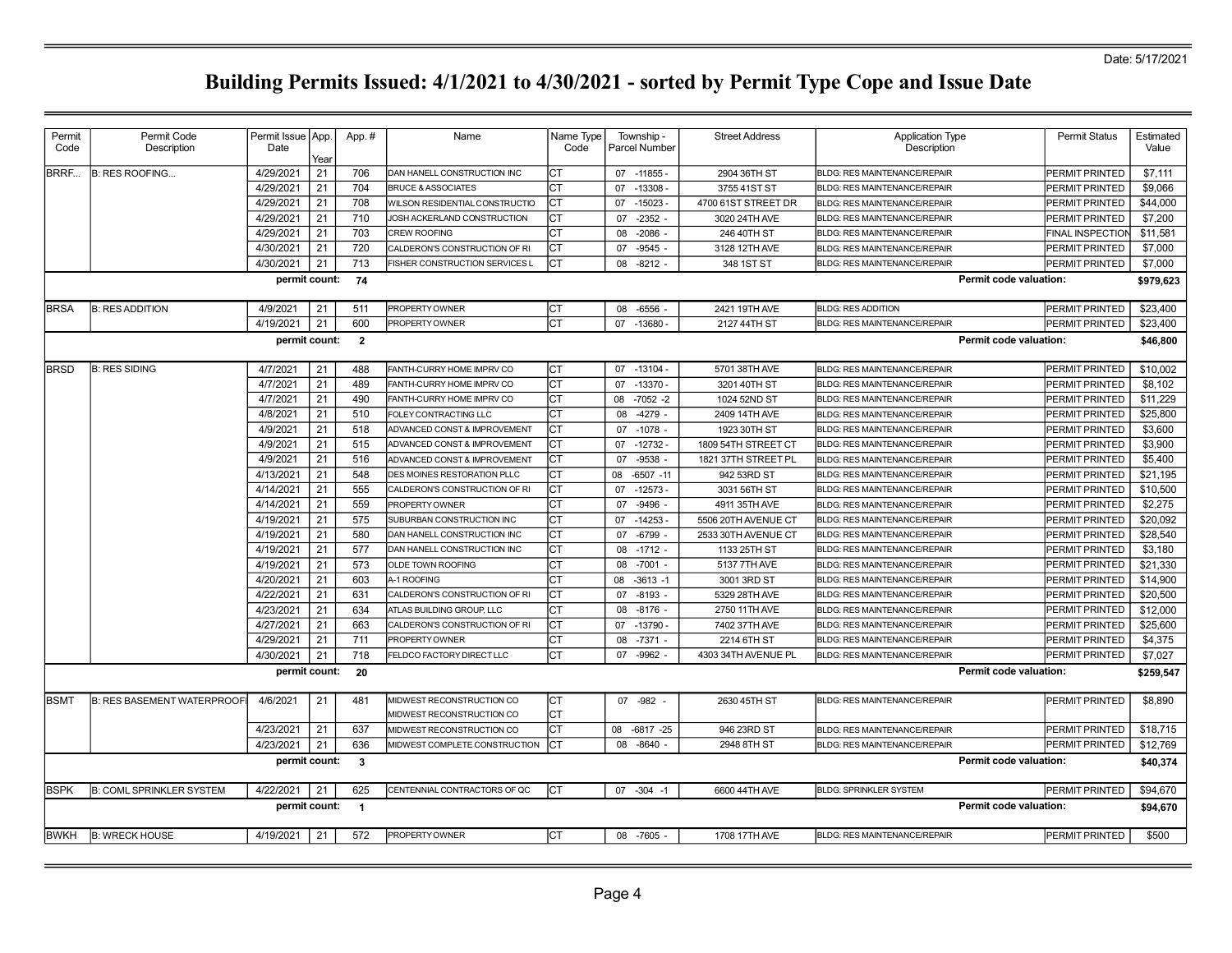Date: 5/17/2021

| Permit<br>Code                                | Permit Code<br>Description        | Permit Issue   App.<br>Date | Year | App.#          | Name                                                   | Name Type<br>Code | Township<br><b>Parcel Number</b> | <b>Street Address</b> | <b>Application Type</b><br>Description | <b>Permit Status</b>    | Estimated<br>Value |  |  |
|-----------------------------------------------|-----------------------------------|-----------------------------|------|----------------|--------------------------------------------------------|-------------------|----------------------------------|-----------------------|----------------------------------------|-------------------------|--------------------|--|--|
| BRRF                                          | <b>B: RES ROOFING</b>             | 4/29/2021                   | 21   | 706            | DAN HANELL CONSTRUCTION INC                            | СT                | 07 -11855 -                      | 2904 36TH ST          | <b>BLDG: RES MAINTENANCE/REPAIR</b>    | PERMIT PRINTED          | \$7,111            |  |  |
|                                               |                                   | 4/29/2021                   | 21   | 704            | <b>BRUCE &amp; ASSOCIATES</b>                          | СT                | 07<br>$-13308 -$                 | 3755 41ST ST          | <b>BLDG: RES MAINTENANCE/REPAIR</b>    | PERMIT PRINTED          | \$9,066            |  |  |
|                                               |                                   | 4/29/2021                   | 21   | 708            | WILSON RESIDENTIAL CONSTRUCTIO                         | СT                | 07<br>$-15023$                   | 4700 61ST STREET DR   | <b>BLDG: RES MAINTENANCE/REPAIR</b>    | PERMIT PRINTED          | \$44,000           |  |  |
|                                               |                                   | 4/29/2021                   | 21   | 710            | JOSH ACKERLAND CONSTRUCTION                            | СT                | $-2352$<br>07                    | 3020 24TH AVE         | <b>BLDG: RES MAINTENANCE/REPAIR</b>    | <b>PERMIT PRINTED</b>   | \$7,200            |  |  |
|                                               |                                   | 4/29/2021                   | 21   | 703            | <b>CREW ROOFING</b>                                    | Iст               | 08<br>$-2086$                    | 246 40TH ST           | <b>BLDG: RES MAINTENANCE/REPAIR</b>    | <b>FINAL INSPECTION</b> | \$11,581           |  |  |
|                                               |                                   | 4/30/2021                   | 21   | 720            | CALDERON'S CONSTRUCTION OF RI                          | СT                | $-9545$<br>07                    | 3128 12TH AVE         | BLDG: RES MAINTENANCE/REPAIR           | PERMIT PRINTED          | \$7,000            |  |  |
|                                               |                                   | 4/30/2021                   | 21   | 713            | FISHER CONSTRUCTION SERVICES L                         | СT                | 08<br>$-8212 -$                  | 348 1ST ST            | <b>BLDG: RES MAINTENANCE/REPAIR</b>    | PERMIT PRINTED          | \$7,000            |  |  |
| Permit code valuation:<br>permit count:<br>74 |                                   |                             |      |                |                                                        |                   |                                  |                       |                                        |                         |                    |  |  |
| <b>BRSA</b>                                   | <b>B: RES ADDITION</b>            | 4/9/2021                    | 21   | 511            | PROPERTY OWNER                                         | Iст               | $-6556 -$<br>08                  | 2421 19TH AVE         | <b>BLDG: RES ADDITION</b>              | PERMIT PRINTED          | \$23,400           |  |  |
|                                               |                                   | 4/19/2021                   | 21   | 600            | PROPERTY OWNER                                         | lст               | 07<br>$-13680$                   | 2127 44TH ST          | BLDG: RES MAINTENANCE/REPAIR           | PERMIT PRINTED          | \$23,400           |  |  |
|                                               |                                   | permit count:               |      | $\overline{2}$ |                                                        |                   |                                  |                       |                                        | Permit code valuation:  | \$46,800           |  |  |
| <b>BRSD</b>                                   | <b>B: RES SIDING</b>              | 4/7/2021                    | 21   | 488            | FANTH-CURRY HOME IMPRV CO                              | ICT               | 07 -13104 -                      | 5701 38TH AVE         | <b>BLDG: RES MAINTENANCE/REPAIR</b>    | PERMIT PRINTED          | \$10,002           |  |  |
|                                               |                                   | 4/7/2021                    | 21   | 489            | FANTH-CURRY HOME IMPRV CO                              | Iст               | 07<br>$-13370 -$                 | 3201 40TH ST          | BLDG: RES MAINTENANCE/REPAIR           | <b>PERMIT PRINTED</b>   | \$8,102            |  |  |
|                                               |                                   | 4/7/2021                    | 21   | 490            | FANTH-CURRY HOME IMPRV CO                              | CT                | 80<br>$-7052 - 2$                | 1024 52ND ST          | BLDG: RES MAINTENANCE/REPAIR           | PERMIT PRINTED          | \$11,229           |  |  |
|                                               |                                   | 4/8/2021                    | 21   | 510            | FOLEY CONTRACTING LLC                                  | СT                | -4279<br>08                      | 2409 14TH AVE         | BLDG: RES MAINTENANCE/REPAIR           | PERMIT PRINTED          | \$25,800           |  |  |
|                                               |                                   | 4/9/2021                    | 21   | 518            | ADVANCED CONST & IMPROVEMENT                           | СT                | 07<br>$-1078$                    | 1923 30TH ST          | <b>BLDG: RES MAINTENANCE/REPAIR</b>    | <b>PERMIT PRINTED</b>   | \$3,600            |  |  |
|                                               |                                   | 4/9/2021                    | 21   | 515            | ADVANCED CONST & IMPROVEMENT                           | Iст               | $-12732 -$<br>07                 | 1809 54TH STREET CT   | <b>BLDG: RES MAINTENANCE/REPAIR</b>    | PERMIT PRINTED          | \$3,900            |  |  |
|                                               |                                   | 4/9/2021                    | 21   | 516            | ADVANCED CONST & IMPROVEMENT                           | Iст               | $-9538$<br>07                    | 1821 37TH STREET PL   | <b>BLDG: RES MAINTENANCE/REPAIR</b>    | PERMIT PRINTED          | \$5,400            |  |  |
|                                               |                                   | 4/13/2021                   | 21   | 548            | DES MOINES RESTORATION PLLC                            | Iст               | $-6507 - 11$<br>08               | 942 53RD ST           | BLDG: RES MAINTENANCE/REPAIR           | PERMIT PRINTED          | \$21,195           |  |  |
|                                               |                                   | 4/14/2021                   | 21   | 555            | CALDERON'S CONSTRUCTION OF RI                          | Iст               | $-12573-$<br>07                  | 3031 56TH ST          | <b>BLDG: RES MAINTENANCE/REPAIR</b>    | PERMIT PRINTED          | \$10,500           |  |  |
|                                               |                                   | 4/14/2021                   | 21   | 559            | PROPERTY OWNER                                         | Iст               | 07<br>-9496                      | 4911 35TH AVE         | <b>BLDG: RES MAINTENANCE/REPAIR</b>    | <b>PERMIT PRINTED</b>   | \$2,275            |  |  |
|                                               |                                   | 4/19/2021                   | 21   | 575            | SUBURBAN CONSTRUCTION INC                              | Iст               | $-14253$<br>07                   | 5506 20TH AVENUE CT   | <b>BLDG: RES MAINTENANCE/REPAIR</b>    | PERMIT PRINTED          | \$20,092           |  |  |
|                                               |                                   | 4/19/2021                   | 21   | 580            | DAN HANELL CONSTRUCTION INC                            | СT                | 07<br>$-6799$                    | 2533 30TH AVENUE CT   | BLDG: RES MAINTENANCE/REPAIR           | PERMIT PRINTED          | \$28,540           |  |  |
|                                               |                                   | 4/19/2021                   | 21   | 577            | DAN HANELL CONSTRUCTION INC                            | Iст               | $-1712 -$<br>08                  | 1133 25TH ST          | <b>BLDG: RES MAINTENANCE/REPAIR</b>    | <b>PERMIT PRINTED</b>   | \$3,180            |  |  |
|                                               |                                   | 4/19/2021                   | 21   | 573            | OLDE TOWN ROOFING                                      | Iст               | 08<br>$-7001$                    | 5137 7TH AVE          | BLDG: RES MAINTENANCE/REPAIR           | <b>PERMIT PRINTED</b>   | \$21,330           |  |  |
|                                               |                                   | 4/20/2021                   | 21   | 603            | A-1 ROOFING                                            | СT                | 08<br>$-3613 - 1$                | 3001 3RD ST           | <b>BLDG: RES MAINTENANCE/REPAIR</b>    | PERMIT PRINTED          | \$14,900           |  |  |
|                                               |                                   | 4/22/2021                   | 21   | 631            | CALDERON'S CONSTRUCTION OF RI                          | lст               | 07<br>$-8193$                    | 5329 28TH AVE         | <b>BLDG: RES MAINTENANCE/REPAIR</b>    | PERMIT PRINTED          | \$20,500           |  |  |
|                                               |                                   | 4/23/2021                   | 21   | 634            | ATLAS BUILDING GROUP, LLC                              | СT                | $-8176$<br>08                    | 2750 11TH AVE         | BLDG: RES MAINTENANCE/REPAIR           | PERMIT PRINTED          | \$12,000           |  |  |
|                                               |                                   | 4/27/2021                   | 21   | 663            | CALDERON'S CONSTRUCTION OF RI                          | Iст               | 07<br>$-13790 -$                 | 7402 37TH AVE         | BLDG: RES MAINTENANCE/REPAIR           | PERMIT PRINTED          | \$25,600           |  |  |
|                                               |                                   | 4/29/2021                   | 21   | 711            | PROPERTY OWNER                                         | Iст               | $-7371 -$<br>08                  | 2214 6TH ST           | <b>BLDG: RES MAINTENANCE/REPAIR</b>    | PERMIT PRINTED          | \$4,375            |  |  |
|                                               |                                   | 4/30/2021                   | 21   | 718            | FELDCO FACTORY DIRECT LLC                              | CT                | $-9962$<br>07                    | 4303 34TH AVENUE PL   | <b>BLDG: RES MAINTENANCE/REPAIR</b>    | PERMIT PRINTED          | \$7,027            |  |  |
|                                               |                                   | permit count:               |      | 20             |                                                        |                   |                                  |                       |                                        | Permit code valuation:  | \$259,547          |  |  |
| <b>BSMT</b>                                   | <b>B: RES BASEMENT WATERPROOF</b> | 4/6/2021                    | 21   | 481            | MIDWEST RECONSTRUCTION CO<br>MIDWEST RECONSTRUCTION CO | Iст<br>СT         | 07 - 982                         | 2630 45TH ST          | <b>BLDG: RES MAINTENANCE/REPAIR</b>    | PERMIT PRINTED          | \$8,890            |  |  |
|                                               |                                   | 4/23/2021                   | 21   | 637            | MIDWEST RECONSTRUCTION CO                              | СT                | 08<br>$-6817 -25$                | 946 23RD ST           | <b>BLDG: RES MAINTENANCE/REPAIR</b>    | PERMIT PRINTED          | \$18,715           |  |  |
|                                               |                                   | 4/23/2021                   | 21   | 636            | MIDWEST COMPLETE CONSTRUCTION                          | Iст               | 08<br>$-8640$                    | 2948 8TH ST           | BLDG: RES MAINTENANCE/REPAIR           | PERMIT PRINTED          | \$12,769           |  |  |
|                                               |                                   | permit count:               |      | $\mathbf{3}$   |                                                        |                   |                                  |                       |                                        | Permit code valuation:  | \$40,374           |  |  |
| <b>BSPK</b>                                   | <b>B: COML SPRINKLER SYSTEM</b>   | 4/22/2021                   | 21   | 625            | CENTENNIAL CONTRACTORS OF QC                           | Iст               | $07 - 304 - 1$                   | 6600 44TH AVE         | <b>BLDG: SPRINKLER SYSTEM</b>          | PERMIT PRINTED          | \$94,670           |  |  |
|                                               |                                   | permit count:               |      | $\overline{1}$ |                                                        |                   |                                  |                       |                                        | Permit code valuation:  | \$94,670           |  |  |
| <b>BWKH</b>                                   | <b>B: WRECK HOUSE</b>             | 4/19/2021                   | 21   | 572            | PROPERTY OWNER                                         | Iст               | 08 -7605 -                       | 1708 17TH AVE         | <b>BLDG: RES MAINTENANCE/REPAIR</b>    | PERMIT PRINTED          | \$500              |  |  |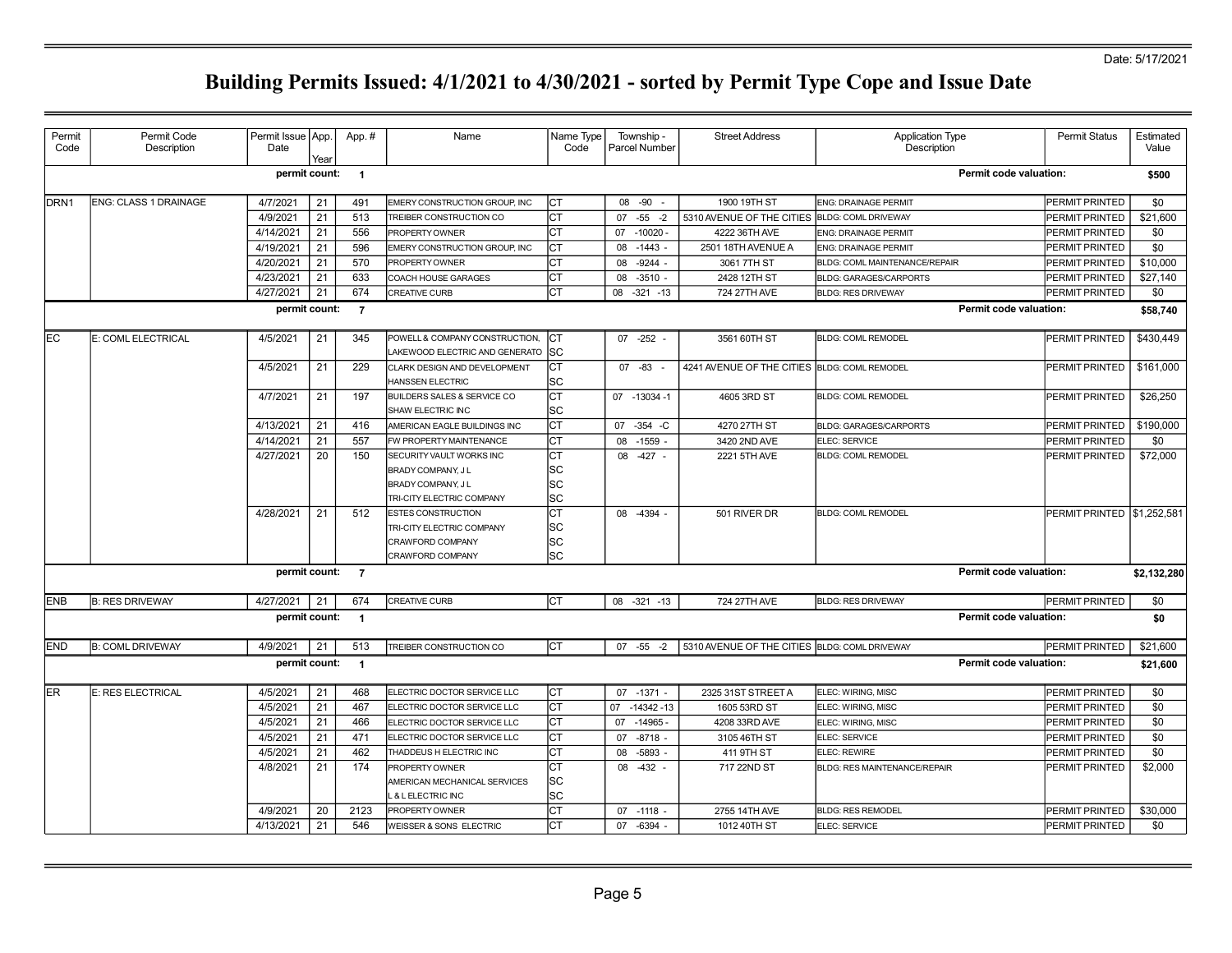Date: 5/17/2021

| Permit           | Permit Code                  | Permit Issue   App. |      | App.#                    | Name                                                              | Name Type | Township -        | <b>Street Address</b>                         | <b>Application Type</b>             | <b>Permit Status</b>        | Estimated   |
|------------------|------------------------------|---------------------|------|--------------------------|-------------------------------------------------------------------|-----------|-------------------|-----------------------------------------------|-------------------------------------|-----------------------------|-------------|
| Code             | Description                  | Date                | Year |                          |                                                                   | Code      | Parcel Number     |                                               | Description                         |                             | Value       |
|                  |                              | permit count:       |      | $\overline{\phantom{0}}$ |                                                                   |           |                   |                                               | Permit code valuation:              |                             | \$500       |
| DRN <sub>1</sub> | <b>ENG: CLASS 1 DRAINAGE</b> | 4/7/2021            | 21   | 491                      | EMERY CONSTRUCTION GROUP. INC                                     | CT        | 08 - 90           | 1900 19TH ST                                  | ENG: DRAINAGE PERMIT                | PERMIT PRINTED              | \$0         |
|                  |                              | 4/9/2021            | 21   | 513                      | TREIBER CONSTRUCTION CO                                           | СT        | 07<br>$-55 - 2$   | 5310 AVENUE OF THE CITIES                     | <b>BLDG: COML DRIVEWAY</b>          | PERMIT PRINTED              | \$21,600    |
|                  |                              | 4/14/2021           | 21   | 556                      | PROPERTY OWNER                                                    | <b>CT</b> | $-10020 -$<br>07  | 4222 36TH AVE                                 | ENG: DRAINAGE PERMIT                | PERMIT PRINTED              | \$0         |
|                  |                              | 4/19/2021           | 21   | 596                      | EMERY CONSTRUCTION GROUP, INC                                     | СT        | 08<br>$-1443 -$   | 2501 18TH AVENUE A                            | ENG: DRAINAGE PERMIT                | PERMIT PRINTED              | \$0         |
|                  |                              | 4/20/2021           | 21   | 570                      | PROPERTY OWNER                                                    | СT        | $-9244 -$<br>08   | 3061 7TH ST                                   | BLDG: COML MAINTENANCE/REPAIR       | PERMIT PRINTED              | \$10,000    |
|                  |                              | 4/23/2021           | 21   | 633                      | <b>COACH HOUSE GARAGES</b>                                        | СT        | $-3510 -$<br>08   | 2428 12TH ST                                  | <b>BLDG: GARAGES/CARPORTS</b>       | PERMIT PRINTED              | \$27,140    |
|                  |                              | 4/27/2021           | 21   | 674                      | CREATIVE CURB                                                     | СT        | $-321 - 13$<br>08 | 724 27TH AVE                                  | <b>BLDG: RES DRIVEWAY</b>           | PERMIT PRINTED              | \$0         |
|                  |                              | permit count:       |      | $\overline{7}$           |                                                                   |           |                   |                                               | <b>Permit code valuation:</b>       |                             | \$58,740    |
|                  |                              |                     |      |                          |                                                                   |           |                   |                                               |                                     |                             |             |
| lЕC              | E: COML ELECTRICAL           | 4/5/2021            | 21   | 345                      | POWELL & COMPANY CONSTRUCTION.                                    | Іст       | $07 -252 -$       | 3561 60TH ST                                  | <b>BLDG: COML REMODEL</b>           | PERMIT PRINTED              | \$430,449   |
|                  |                              | 4/5/2021            | 21   | 229                      | LAKEWOOD ELECTRIC AND GENERATO SC<br>CLARK DESIGN AND DEVELOPMENT | СT        | 07 -83            | 4241 AVENUE OF THE CITIES BLDG: COML REMODEL  |                                     | PERMIT PRINTED              | \$161,000   |
|                  |                              |                     |      |                          | HANSSEN ELECTRIC                                                  | SC        |                   |                                               |                                     |                             |             |
|                  |                              | 4/7/2021            | 21   | 197                      | <b>BUILDERS SALES &amp; SERVICE CO</b>                            | СT        | 07 -13034 -1      | 4605 3RD ST                                   | <b>BLDG: COML REMODEL</b>           | PERMIT PRINTED              | \$26,250    |
|                  |                              |                     |      |                          | SHAW ELECTRIC INC                                                 | SC        |                   |                                               |                                     |                             |             |
|                  |                              | 4/13/2021           | 21   | 416                      | AMERICAN EAGLE BUILDINGS INC                                      | СT        | 07<br>$-354$ $-C$ | 4270 27TH ST                                  | <b>BLDG: GARAGES/CARPORTS</b>       | PERMIT PRINTED              | \$190,000   |
|                  |                              | 4/14/2021           | 21   | 557                      | FW PROPERTY MAINTENANCE                                           | СT        | 08<br>$-1559$ .   | 3420 2ND AVE                                  | ELEC: SERVICE                       | PERMIT PRINTED              | \$0         |
|                  |                              | 4/27/2021           | 20   | 150                      | SECURITY VAULT WORKS INC                                          | СT        | 08 -427 -         | 2221 5TH AVE                                  | <b>BLDG: COML REMODEL</b>           | PERMIT PRINTED              | \$72,000    |
|                  |                              |                     |      |                          | BRADY COMPANY, J L                                                | SC        |                   |                                               |                                     |                             |             |
|                  |                              |                     |      |                          | BRADY COMPANY, J L                                                | SC        |                   |                                               |                                     |                             |             |
|                  |                              |                     |      |                          | TRI-CITY ELECTRIC COMPANY                                         | SC        |                   |                                               |                                     |                             |             |
|                  |                              | 4/28/2021           | 21   | 512                      | <b>ESTES CONSTRUCTION</b>                                         | СT        | 08 -4394 -        | 501 RIVER DR                                  | <b>BLDG: COML REMODEL</b>           | PERMIT PRINTED \\$1,252,581 |             |
|                  |                              |                     |      |                          | TRI-CITY ELECTRIC COMPANY                                         | SC        |                   |                                               |                                     |                             |             |
|                  |                              |                     |      |                          | CRAWFORD COMPANY                                                  | <b>SC</b> |                   |                                               |                                     |                             |             |
|                  |                              |                     |      |                          | CRAWFORD COMPANY                                                  | sc        |                   |                                               |                                     |                             |             |
|                  |                              | permit count: 7     |      |                          |                                                                   |           |                   |                                               | <b>Permit code valuation:</b>       |                             | \$2,132,280 |
| <b>IENB</b>      | <b>B: RES DRIVEWAY</b>       | 4/27/2021           | 21   | 674                      | <b>CREATIVE CURB</b>                                              | Iст       | 08 -321 -13       | 724 27TH AVE                                  | <b>BLDG: RES DRIVEWAY</b>           | PERMIT PRINTED              | \$0         |
|                  |                              | permit count:       |      | $\blacksquare$           |                                                                   |           |                   |                                               | <b>Permit code valuation:</b>       |                             | \$0         |
| <b>END</b>       | <b>B: COML DRIVEWAY</b>      | 4/9/2021            | 21   | 513                      | TREIBER CONSTRUCTION CO                                           | Iст       | $07 - 55 - 2$     | 5310 AVENUE OF THE CITIES BLDG: COML DRIVEWAY |                                     | PERMIT PRINTED              | \$21,600    |
|                  |                              | permit count:       |      | $\overline{1}$           |                                                                   |           |                   |                                               | <b>Permit code valuation:</b>       |                             | \$21,600    |
| ER.              | E: RES ELECTRICAL            | 4/5/2021            | 21   | 468                      | ELECTRIC DOCTOR SERVICE LLC                                       | Iст       | 07 -1371 -        | 2325 31ST STREET A                            | ELEC: WIRING, MISC                  | PERMIT PRINTED              | \$0         |
|                  |                              | 4/5/2021            | 21   | 467                      | ELECTRIC DOCTOR SERVICE LLC                                       | СT        | 07<br>$-14342-13$ | 1605 53RD ST                                  | ELEC: WIRING, MISC                  | PERMIT PRINTED              | \$0         |
|                  |                              | 4/5/2021            | 21   | 466                      | ELECTRIC DOCTOR SERVICE LLC                                       | СT        | $-14965 -$<br>07  | 4208 33RD AVE                                 | ELEC: WIRING, MISC                  | PERMIT PRINTED              | \$0         |
|                  |                              | 4/5/2021            | 21   | 471                      | ELECTRIC DOCTOR SERVICE LLC                                       | СT        | $-8718 -$<br>07   | 3105 46TH ST                                  | ELEC: SERVICE                       | PERMIT PRINTED              | \$0         |
|                  |                              | 4/5/2021            | 21   | 462                      | THADDEUS H ELECTRIC INC                                           | СT        | $-5893 -$<br>08   | 411 9TH ST                                    | ELEC: REWIRE                        | PERMIT PRINTED              | \$0         |
|                  |                              | 4/8/2021            | 21   | 174                      | PROPERTY OWNER                                                    | СT        | 08 -432           | 717 22ND ST                                   | <b>BLDG: RES MAINTENANCE/REPAIR</b> | PERMIT PRINTED              | \$2,000     |
|                  |                              |                     |      |                          | AMERICAN MECHANICAL SERVICES                                      | SC        |                   |                                               |                                     |                             |             |
|                  |                              |                     |      |                          | . & LELECTRIC INC                                                 | lsc       |                   |                                               |                                     |                             |             |
|                  |                              | 4/9/2021            | 20   | 2123                     | PROPERTY OWNER                                                    | СT        | 07 -1118 -        | 2755 14TH AVE                                 | <b>BLDG: RES REMODEL</b>            | PERMIT PRINTED              | \$30,000    |
|                  |                              | 4/13/2021           | 21   | 546                      | WEISSER & SONS ELECTRIC                                           | СT        | 07 -6394 -        | 1012 40TH ST                                  | ELEC: SERVICE                       | PERMIT PRINTED              | \$0         |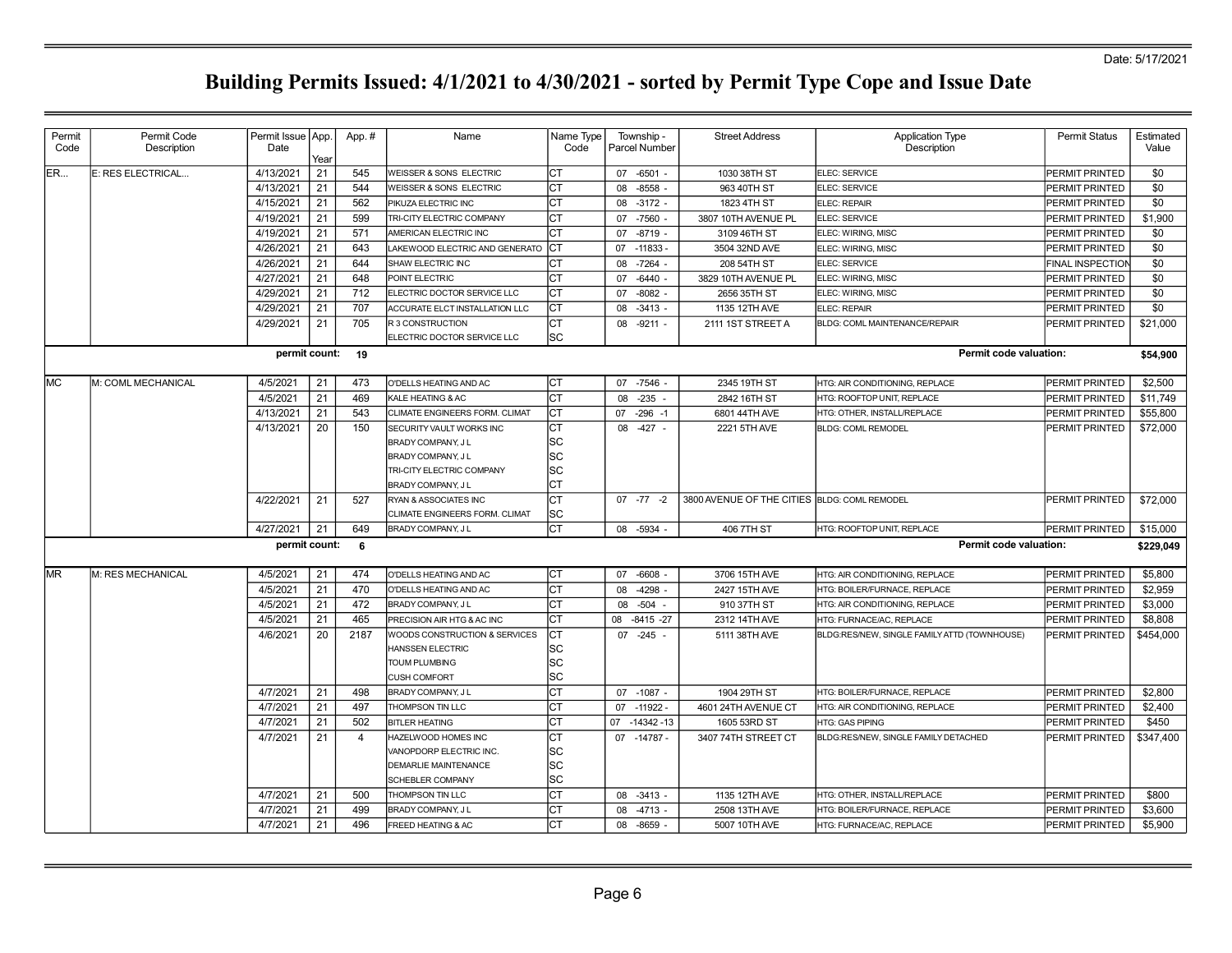| Permit    | Permit Code        | Permit Issue   App. |      | App.#            | Name                               | Name Type | Township -         | <b>Street Address</b>                        | <b>Application Type</b>                      | <b>Permit Status</b>  | Estimated |
|-----------|--------------------|---------------------|------|------------------|------------------------------------|-----------|--------------------|----------------------------------------------|----------------------------------------------|-----------------------|-----------|
| Code      | Description        | Date                | Year |                  |                                    | Code      | Parcel Number      |                                              | Description                                  |                       | Value     |
| ER        | E: RES ELECTRICAL  | 4/13/2021           | 21   | 545              | <b>WEISSER &amp; SONS ELECTRIC</b> | СT        | $-6501 -$<br>07    | 1030 38TH ST                                 | ELEC: SERVICE                                | PERMIT PRINTED        | \$0       |
|           |                    | 4/13/2021           | 21   | 544              | WEISSER & SONS ELECTRIC            | Iст       | 08<br>$-8558$      | 963 40TH ST                                  | ELEC: SERVICE                                | PERMIT PRINTED        | \$0       |
|           |                    | 4/15/2021           | 21   | 562              | PIKUZA ELECTRIC INC                | lст       | $-3172 -$<br>08    | 1823 4TH ST                                  | ELEC: REPAIR                                 | PERMIT PRINTED        | \$0       |
|           |                    | 4/19/2021           | 21   | 599              | TRI-CITY ELECTRIC COMPANY          | CT        | $-7560 -$<br>07    | 3807 10TH AVENUE PL                          | ELEC: SERVICE                                | PERMIT PRINTED        | \$1,900   |
|           |                    | 4/19/2021           | 21   | 571              | AMERICAN ELECTRIC INC              | <b>CT</b> | $-8719 -$<br>07    | 3109 46TH ST                                 | ELEC: WIRING, MISC                           | PERMIT PRINTED        | \$0       |
|           |                    | 4/26/2021           | 21   | 643              | LAKEWOOD ELECTRIC AND GENERATO     | ICT       | 07<br>$-11833$     | 3504 32ND AVE                                | ELEC: WIRING, MISC                           | PERMIT PRINTED        | \$0       |
|           |                    | 4/26/2021           | 21   | 644              | SHAW ELECTRIC INC                  | СT        | $-7264$<br>08      | 208 54TH ST                                  | ELEC: SERVICE                                | FINAL INSPECTION      | \$0       |
|           |                    | 4/27/2021           | 21   | 648              | POINT ELECTRIC                     | <b>CT</b> | $-6440$ .<br>07    | 3829 10TH AVENUE PL                          | ELEC: WIRING, MISC                           | PERMIT PRINTED        | \$0       |
|           |                    | 4/29/2021           | 21   | 712              | ELECTRIC DOCTOR SERVICE LLC        | Iст       | $-8082 -$<br>07    | 2656 35TH ST                                 | ELEC: WIRING, MISC                           | PERMIT PRINTED        | \$0       |
|           |                    | 4/29/2021           | 21   | 707              | ACCURATE ELCT INSTALLATION LLC     | Iст       | $-3413 -$<br>80    | 1135 12TH AVE                                | ELEC: REPAIR                                 | PERMIT PRINTED        | \$0       |
|           |                    | 4/29/2021           | 21   | 705              | <b>R3 CONSTRUCTION</b>             | Iст       | 08 -9211 -         | 2111 1ST STREET A                            | BLDG: COML MAINTENANCE/REPAIR                | PERMIT PRINTED        | \$21,000  |
|           |                    |                     |      |                  | ELECTRIC DOCTOR SERVICE LLC        | lsc       |                    |                                              |                                              |                       |           |
|           |                    |                     |      | permit count: 19 |                                    |           |                    |                                              | Permit code valuation:                       |                       | \$54,900  |
| <b>MC</b> | M: COML MECHANICAL | 4/5/2021            | 21   | 473              | O'DELLS HEATING AND AC             | <b>CT</b> | $-7546$<br>07      | 2345 19TH ST                                 | HTG: AIR CONDITIONING, REPLACE               | PERMIT PRINTED        | \$2,500   |
|           |                    | 4/5/2021            | 21   | 469              | KALE HEATING & AC                  | lст       | $-235 -$<br>08     | 2842 16TH ST                                 | HTG: ROOFTOP UNIT, REPLACE                   | PERMIT PRINTED        | \$11,749  |
|           |                    | 4/13/2021           | 21   | 543              | CLIMATE ENGINEERS FORM. CLIMAT     | Iст       | $-296 - 1$<br>07   | 6801 44TH AVE                                | HTG: OTHER, INSTALL/REPLACE                  | PERMIT PRINTED        | \$55,800  |
|           |                    | 4/13/2021           | 20   | 150              | <b>SECURITY VAULT WORKS INC</b>    | СT        | 08<br>$-427 -$     | 2221 5TH AVE                                 | <b>BLDG: COML REMODEL</b>                    | PERMIT PRINTED        | \$72,000  |
|           |                    |                     |      |                  | BRADY COMPANY, J L                 | SC        |                    |                                              |                                              |                       |           |
|           |                    |                     |      |                  | BRADY COMPANY, J L                 | SC        |                    |                                              |                                              |                       |           |
|           |                    |                     |      |                  | TRI-CITY ELECTRIC COMPANY          | SC        |                    |                                              |                                              |                       |           |
|           |                    |                     |      |                  | BRADY COMPANY, J L                 | <b>CT</b> |                    |                                              |                                              |                       |           |
|           |                    | 4/22/2021           | 21   | 527              | RYAN & ASSOCIATES INC              | СT        | $07 - 77 - 2$      | 3800 AVENUE OF THE CITIES BLDG: COML REMODEL |                                              | PERMIT PRINTED        | \$72,000  |
|           |                    |                     |      |                  | CLIMATE ENGINEERS FORM. CLIMAT     | lsc       |                    |                                              |                                              |                       |           |
|           |                    | 4/27/2021           | 21   | 649              | BRADY COMPANY, J L                 | Іст       | 08 -5934 -         | 406 7TH ST                                   | HTG: ROOFTOP UNIT, REPLACE                   | PERMIT PRINTED        | \$15,000  |
|           |                    | permit count:       |      | - 6              |                                    |           |                    |                                              | <b>Permit code valuation:</b>                |                       | \$229,049 |
| <b>MR</b> | M: RES MECHANICAL  | 4/5/2021            | 21   | 474              | O'DELLS HEATING AND AC             | Iст       | $-6608 -$<br>07    | 3706 15TH AVE                                | HTG: AIR CONDITIONING, REPLACE               | PERMIT PRINTED        | \$5,800   |
|           |                    | 4/5/2021            | 21   | 470              | O'DELLS HEATING AND AC             | Iст       | $-4298 -$<br>08    | 2427 15TH AVE                                | HTG: BOILER/FURNACE, REPLACE                 | PERMIT PRINTED        | \$2,959   |
|           |                    | 4/5/2021            | 21   | 472              | BRADY COMPANY, J L                 | <b>CT</b> | $-504$<br>08       | 910 37TH ST                                  | HTG: AIR CONDITIONING, REPLACE               | PERMIT PRINTED        | \$3,000   |
|           |                    | 4/5/2021            | 21   | 465              | PRECISION AIR HTG & AC INC         | Iст       | 08<br>$-8415 - 27$ | 2312 14TH AVE                                | HTG: FURNACE/AC, REPLACE                     | PERMIT PRINTED        | \$8,808   |
|           |                    | 4/6/2021            | 20   | 2187             | WOODS CONSTRUCTION & SERVICES      | CT        | 07<br>$-245$       | 5111 38TH AVE                                | BLDG:RES/NEW, SINGLE FAMILY ATTD (TOWNHOUSE) | PERMIT PRINTED        | \$454,000 |
|           |                    |                     |      |                  | HANSSEN ELECTRIC                   | SC        |                    |                                              |                                              |                       |           |
|           |                    |                     |      |                  | TOUM PLUMBING                      | SC        |                    |                                              |                                              |                       |           |
|           |                    |                     |      |                  | <b>CUSH COMFORT</b>                | lsc       |                    |                                              |                                              |                       |           |
|           |                    | 4/7/2021            | 21   | 498              | BRADY COMPANY, J L                 | <b>CT</b> | 07 -1087 -         | 1904 29TH ST                                 | HTG: BOILER/FURNACE, REPLACE                 | PERMIT PRINTED        | \$2.800   |
|           |                    | 4/7/2021            | 21   | 497              | THOMPSON TIN LLC                   | CT        | 07<br>$-11922-$    | 4601 24TH AVENUE CT                          | HTG: AIR CONDITIONING, REPLACE               | PERMIT PRINTED        | \$2,400   |
|           |                    | 4/7/2021            | 21   | 502              | <b>BITLER HEATING</b>              | <b>CT</b> | $-14342-13$<br>07  | 1605 53RD ST                                 | <b>HTG: GAS PIPING</b>                       | PERMIT PRINTED        | \$450     |
|           |                    | 4/7/2021            | 21   | $\overline{4}$   | HAZELWOOD HOMES INC                | <b>CT</b> | 07 -14787 -        | 3407 74TH STREET CT                          | BLDG:RES/NEW, SINGLE FAMILY DETACHED         | PERMIT PRINTED        | \$347,400 |
|           |                    |                     |      |                  | VANOPDORP ELECTRIC INC.            | SC        |                    |                                              |                                              |                       |           |
|           |                    |                     |      |                  | <b>DEMARLIE MAINTENANCE</b>        | lsc       |                    |                                              |                                              |                       |           |
|           |                    |                     |      |                  | <b>SCHEBLER COMPANY</b>            | SC        |                    |                                              |                                              |                       |           |
|           |                    | 4/7/2021            | 21   | 500              | <b>THOMPSON TIN LLC</b>            | CT        | 08 -3413 -         | 1135 12TH AVE                                | HTG: OTHER, INSTALL/REPLACE                  | <b>PERMIT PRINTED</b> | \$800     |
|           |                    | 4/7/2021            | 21   | 499              | BRADY COMPANY, J L                 | Iст       | 08<br>$-4713 -$    | 2508 13TH AVE                                | HTG: BOILER/FURNACE, REPLACE                 | PERMIT PRINTED        | \$3,600   |
|           |                    | 4/7/2021            | 21   | 496              | <b>FREED HEATING &amp; AC</b>      | Іст       | 08<br>-8659        | 5007 10TH AVE                                | HTG: FURNACE/AC, REPLACE                     | PERMIT PRINTED        | \$5,900   |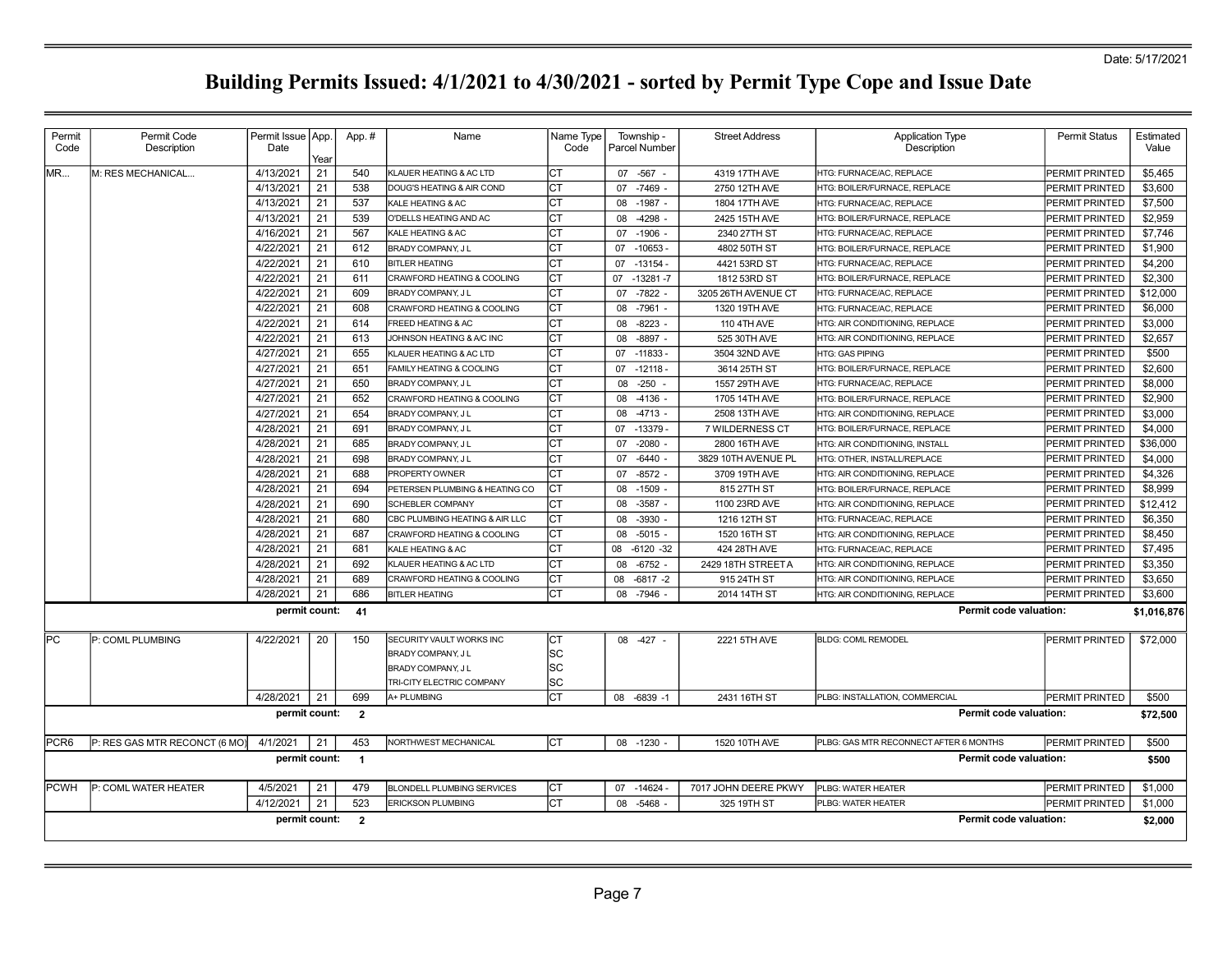| Permit           | Permit Code                   | Permit Issue   App. |      | App.#                   | Name                                  | Name Type | Township -           | <b>Street Address</b> | <b>Application Type</b>                | <b>Permit Status</b>  | Estimated   |
|------------------|-------------------------------|---------------------|------|-------------------------|---------------------------------------|-----------|----------------------|-----------------------|----------------------------------------|-----------------------|-------------|
| Code             | Description                   | Date                | Year |                         |                                       | Code      | <b>Parcel Number</b> |                       | Description                            |                       | Value       |
| MR               | M: RES MECHANICAL             | 4/13/2021           | 21   | 540                     | KLAUER HEATING & AC LTD               | СT        | 07 -567 -            | 4319 17TH AVE         | HTG: FURNACE/AC, REPLACE               | PERMIT PRINTED        | \$5,465     |
|                  |                               | 4/13/2021           | 21   | 538                     | DOUG'S HEATING & AIR COND             | Iст       | 07<br>$-7469$        | 2750 12TH AVE         | HTG: BOILER/FURNACE, REPLACE           | <b>PERMIT PRINTED</b> | \$3,600     |
|                  |                               | 4/13/2021           | 21   | 537                     | KALE HEATING & AC                     | CT        | 08<br>$-1987$        | 1804 17TH AVE         | HTG: FURNACE/AC, REPLACE               | PERMIT PRINTED        | \$7,500     |
|                  |                               | 4/13/2021           | 21   | 539                     | O'DELLS HEATING AND AC                | СT        | $-4298$<br>08        | 2425 15TH AVE         | HTG: BOILER/FURNACE, REPLACE           | PERMIT PRINTED        | \$2,959     |
|                  |                               | 4/16/2021           | 21   | 567                     | KALE HEATING & AC                     | lст       | $-1906$<br>07        | 2340 27TH ST          | HTG: FURNACE/AC, REPLACE               | PERMIT PRINTED        | \$7,746     |
|                  |                               | 4/22/2021           | 21   | 612                     | BRADY COMPANY, J L                    | Iст       | $-10653 -$<br>07     | 4802 50TH ST          | HTG: BOILER/FURNACE, REPLACE           | PERMIT PRINTED        | \$1,900     |
|                  |                               | 4/22/2021           | 21   | 610                     | <b>BITLER HEATING</b>                 | CT        | $-13154 -$<br>07     | 4421 53RD ST          | HTG: FURNACE/AC, REPLACE               | PERMIT PRINTED        | \$4,200     |
|                  |                               | 4/22/2021           | 21   | 611                     | <b>CRAWFORD HEATING &amp; COOLING</b> | СT        | $-13281 - 7$<br>07   | 1812 53RD ST          | HTG: BOILER/FURNACE, REPLACE           | PERMIT PRINTED        | \$2,300     |
|                  |                               | 4/22/2021           | 21   | 609                     | BRADY COMPANY, J L                    | CT        | 07<br>$-7822$        | 3205 26TH AVENUE CT   | HTG: FURNACE/AC, REPLACE               | PERMIT PRINTED        | \$12,000    |
|                  |                               | 4/22/2021           | 21   | 608                     | CRAWFORD HEATING & COOLING            | СT        | $-7961$<br>08        | 1320 19TH AVE         | HTG: FURNACE/AC, REPLACE               | PERMIT PRINTED        | \$6,000     |
|                  |                               | 4/22/2021           | 21   | 614                     | FREED HEATING & AC                    | <b>CT</b> | $-8223$<br>08        | 110 4TH AVE           | HTG: AIR CONDITIONING, REPLACE         | PERMIT PRINTED        | \$3,000     |
|                  |                               | 4/22/2021           | 21   | 613                     | JOHNSON HEATING & A/C INC             | <b>CT</b> | 08<br>$-8897$        | 525 30TH AVE          | HTG: AIR CONDITIONING, REPLACE         | PERMIT PRINTED        | \$2,657     |
|                  |                               | 4/27/2021           | 21   | 655                     | KLAUER HEATING & AC LTD               | <b>CT</b> | $-11833-$<br>07      | 3504 32ND AVE         | <b>HTG: GAS PIPING</b>                 | PERMIT PRINTED        | \$500       |
|                  |                               | 4/27/2021           | 21   | 651                     | FAMILY HEATING & COOLING              | Iст       | $-12118-$<br>07      | 3614 25TH ST          | HTG: BOILER/FURNACE, REPLACE           | PERMIT PRINTED        | \$2,600     |
|                  |                               | 4/27/2021           | 21   | 650                     | BRADY COMPANY, J L                    | Iст       | $-250$<br>08         | 1557 29TH AVE         | HTG: FURNACE/AC, REPLACE               | PERMIT PRINTED        | \$8,000     |
|                  |                               | 4/27/2021           | 21   | 652                     | CRAWFORD HEATING & COOLING            | Iст       | $-4136$<br>08        | 1705 14TH AVE         | HTG: BOILER/FURNACE, REPLACE           | PERMIT PRINTED        | \$2,900     |
|                  |                               | 4/27/2021           | 21   | 654                     | BRADY COMPANY, J L                    | <b>CT</b> | 08<br>$-4713$        | 2508 13TH AVE         | HTG: AIR CONDITIONING, REPLACE         | PERMIT PRINTED        | \$3,000     |
|                  |                               | 4/28/2021           | 21   | 691                     | BRADY COMPANY, J L                    | СT        | $-13379$<br>07       | 7 WILDERNESS CT       | HTG: BOILER/FURNACE, REPLACE           | <b>PERMIT PRINTED</b> | \$4,000     |
|                  |                               | 4/28/2021           | 21   | 685                     | BRADY COMPANY, J L                    | СT        | 07<br>$-2080$        | 2800 16TH AVE         | HTG: AIR CONDITIONING, INSTALL         | <b>PERMIT PRINTED</b> | \$36,000    |
|                  |                               | 4/28/2021           | 21   | 698                     | BRADY COMPANY, J L                    | CT        | $-6440$<br>07        | 3829 10TH AVENUE PL   | HTG: OTHER. INSTALL/REPLACE            | PERMIT PRINTED        | \$4,000     |
|                  |                               | 4/28/2021           | 21   | 688                     | PROPERTY OWNER                        | Iст       | $-8572$<br>07        | 3709 19TH AVE         | HTG: AIR CONDITIONING, REPLACE         | PERMIT PRINTED        | \$4,326     |
|                  |                               | 4/28/2021           | 21   | 694                     | PETERSEN PLUMBING & HEATING CO        | IСТ       | 08<br>$-1509$        | 815 27TH ST           | HTG: BOILER/FURNACE, REPLACE           | PERMIT PRINTED        | \$8,999     |
|                  |                               | 4/28/2021           | 21   | 690                     | <b>SCHEBLER COMPANY</b>               | Iст       | $-3587 -$<br>08      | 1100 23RD AVE         | HTG: AIR CONDITIONING, REPLACE         | PERMIT PRINTED        | \$12,412    |
|                  |                               | 4/28/2021           | 21   | 680                     | CBC PLUMBING HEATING & AIR LLC        | Iст       | -3930<br>08          | 1216 12TH ST          | HTG: FURNACE/AC, REPLACE               | PERMIT PRINTED        | \$6,350     |
|                  |                               | 4/28/2021           | 21   | 687                     | CRAWFORD HEATING & COOLING            | СT        | $-5015$<br>08        | 1520 16TH ST          | HTG: AIR CONDITIONING, REPLACE         | PERMIT PRINTED        | \$8,450     |
|                  |                               | 4/28/2021           | 21   | 681                     | KALE HEATING & AC                     | Iст       | $-6120 - 32$<br>08   | 424 28TH AVE          | HTG: FURNACE/AC, REPLACE               | PERMIT PRINTED        | \$7,495     |
|                  |                               | 4/28/2021           | 21   | 692                     | KLAUER HEATING & AC LTD               | СT        | $-6752$<br>08        | 2429 18TH STREET A    | HTG: AIR CONDITIONING, REPLACE         | PERMIT PRINTED        | \$3,350     |
|                  |                               | 4/28/2021           | 21   | 689                     | <b>CRAWFORD HEATING &amp; COOLING</b> | СT        | 08<br>$-6817 - 2$    | 915 24TH ST           | HTG: AIR CONDITIONING, REPLACE         | PERMIT PRINTED        | \$3,650     |
|                  |                               | 4/28/2021           | 21   | 686                     | <b>BITLER HEATING</b>                 | <b>CT</b> | $-7946 -$<br>08      | 2014 14TH ST          | HTG: AIR CONDITIONING, REPLACE         | PERMIT PRINTED        | \$3,600     |
|                  |                               | permit count:       |      | 41                      |                                       |           |                      |                       | Permit code valuation:                 |                       | \$1,016,876 |
|                  |                               |                     |      |                         |                                       |           |                      |                       |                                        |                       |             |
| <b>PC</b>        | P: COML PLUMBING              | 4/22/2021           | 20   | 150                     | SECURITY VAULT WORKS INC              | Iст       | 08 - 427             | 2221 5TH AVE          | <b>BLDG: COML REMODEL</b>              | PERMIT PRINTED        | \$72,000    |
|                  |                               |                     |      |                         | BRADY COMPANY, J L                    | lsc       |                      |                       |                                        |                       |             |
|                  |                               |                     |      |                         | BRADY COMPANY, J L                    | <b>SC</b> |                      |                       |                                        |                       |             |
|                  |                               |                     |      |                         | TRI-CITY ELECTRIC COMPANY             | <b>SC</b> |                      |                       |                                        |                       |             |
|                  |                               | 4/28/2021           | 21   | 699                     | A+ PLUMBING                           | lст       | 08 -6839 -1          | 2431 16TH ST          | PLBG: INSTALLATION, COMMERCIAL         | PERMIT PRINTED        | \$500       |
|                  |                               | permit count:       |      | $\overline{2}$          |                                       |           |                      |                       | <b>Permit code valuation:</b>          |                       | \$72,500    |
| PCR <sub>6</sub> | P: RES GAS MTR RECONCT (6 MO) | 4/1/2021            | 21   | 453                     | NORTHWEST MECHANICAL                  | Iст       | 08 -1230             | 1520 10TH AVE         | PLBG: GAS MTR RECONNECT AFTER 6 MONTHS | PERMIT PRINTED        | \$500       |
|                  |                               | permit count:       |      | $\blacksquare$          |                                       |           |                      |                       | Permit code valuation:                 |                       | \$500       |
| <b>PCWH</b>      | P: COML WATER HEATER          | 4/5/2021            | 21   | 479                     | <b>BLONDELL PLUMBING SERVICES</b>     | <b>CT</b> | -14624 -<br>07       | 7017 JOHN DEERE PKWY  | PLBG: WATER HEATER                     | PERMIT PRINTED        | \$1,000     |
|                  |                               | 4/12/2021           | 21   | 523                     | <b>ERICKSON PLUMBING</b>              | Іст       | $-5468$<br>08        | 325 19TH ST           | PLBG: WATER HEATER                     | PERMIT PRINTED        | \$1,000     |
|                  |                               | permit count:       |      | $\overline{\mathbf{2}}$ |                                       |           |                      |                       | Permit code valuation:                 |                       | \$2,000     |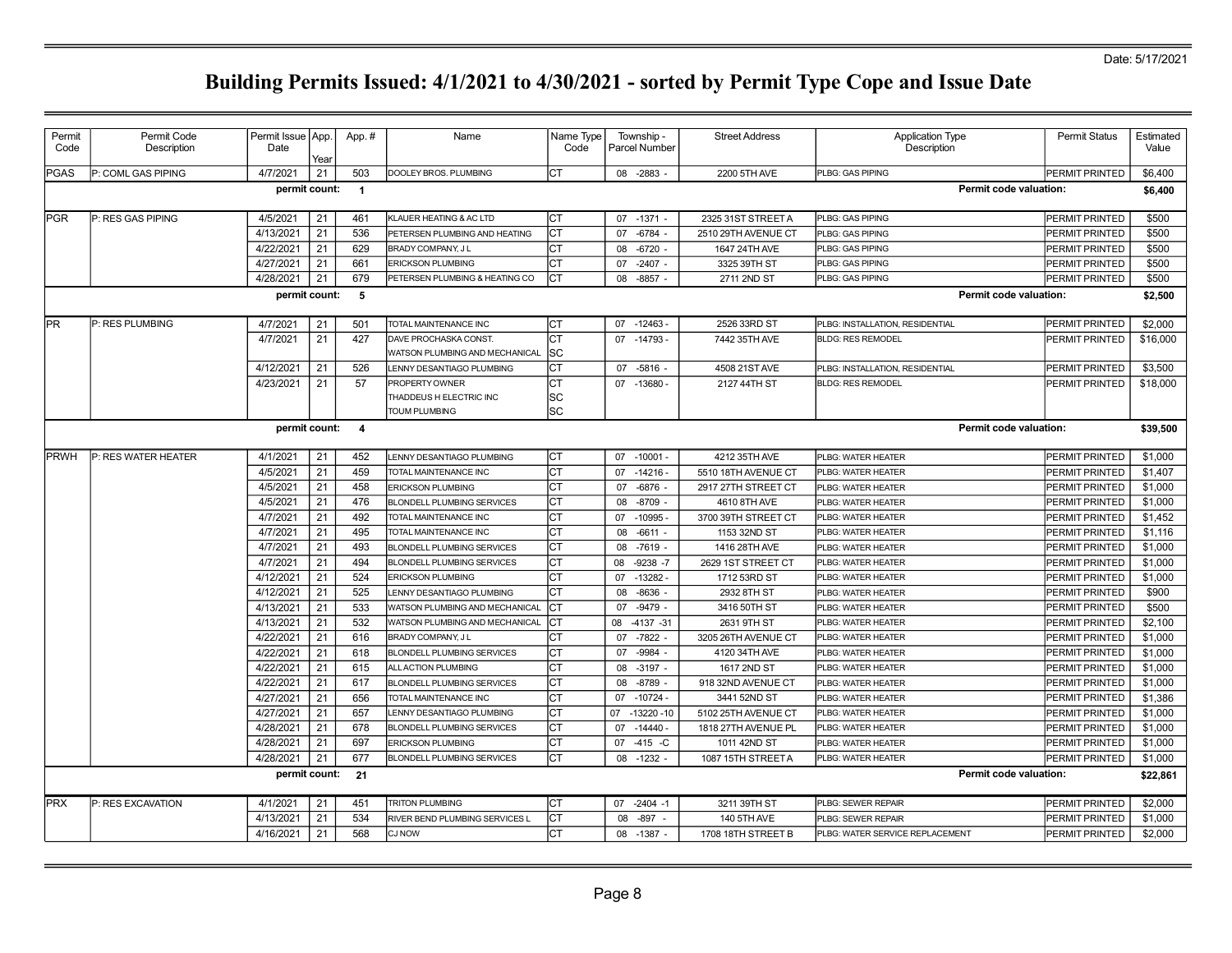| Permit<br>Code                                                                                                                                                         | Permit Code<br>Description | Permit Issue App.<br>Date | Year     | App.#          | Name                                                              | Name Type<br>Code      | Township -<br>Parcel Number     | <b>Street Address</b>       | <b>Application Type</b><br>Description   | <b>Permit Status</b>             | Estimated<br>Value |  |  |
|------------------------------------------------------------------------------------------------------------------------------------------------------------------------|----------------------------|---------------------------|----------|----------------|-------------------------------------------------------------------|------------------------|---------------------------------|-----------------------------|------------------------------------------|----------------------------------|--------------------|--|--|
| <b>PGAS</b>                                                                                                                                                            | P: COML GAS PIPING         | 4/7/2021                  | 21       | 503            | DOOLEY BROS. PLUMBING                                             | Iст                    | 08 -2883 -                      | 2200 5TH AVE                | PLBG: GAS PIPING                         | PERMIT PRINTED                   | \$6,400            |  |  |
|                                                                                                                                                                        |                            | permit count:             |          | $\overline{1}$ |                                                                   |                        |                                 |                             | Permit code valuation:                   |                                  | \$6,400            |  |  |
| <b>PGR</b>                                                                                                                                                             | P: RES GAS PIPING          | 4/5/2021                  | 21       | 461            | KLAUER HEATING & AC LTD                                           | Iст                    | 07 -1371 -                      | 2325 31ST STREET A          | PLBG: GAS PIPING                         | PERMIT PRINTED                   | \$500              |  |  |
|                                                                                                                                                                        |                            | 4/13/2021                 | 21       | 536            | PETERSEN PLUMBING AND HEATING                                     | СT                     | 07<br>$-6784$ .                 | 2510 29TH AVENUE CT         | PLBG: GAS PIPING                         | PERMIT PRINTED                   | \$500              |  |  |
|                                                                                                                                                                        |                            | 4/22/2021                 | 21       | 629            | BRADY COMPANY, J L                                                | СT                     | $-6720$<br>08                   | 1647 24TH AVE               | PLBG: GAS PIPING                         | PERMIT PRINTED                   | \$500              |  |  |
|                                                                                                                                                                        |                            | 4/27/2021                 | 21       | 661            | <b>ERICKSON PLUMBING</b>                                          | СT                     | $-2407 -$<br>07                 | 3325 39TH ST                | PLBG: GAS PIPING                         | PERMIT PRINTED                   | \$500              |  |  |
|                                                                                                                                                                        |                            | 4/28/2021                 | 21       | 679            | PETERSEN PLUMBING & HEATING CO                                    | СT                     | $-8857$<br>08                   | 2711 2ND ST                 | PLBG: GAS PIPING                         | PERMIT PRINTED                   | \$500              |  |  |
|                                                                                                                                                                        |                            | permit count:             |          | 5              |                                                                   |                        |                                 |                             | <b>Permit code valuation:</b>            |                                  | \$2,500            |  |  |
| PR<br>4/7/2021<br>21<br>501<br>СT<br>$-12463 -$<br>2526 33RD ST<br>PERMIT PRINTED<br>P: RES PLUMBING<br>TOTAL MAINTENANCE INC<br>07<br>PLBG: INSTALLATION, RESIDENTIAL |                            |                           |          |                |                                                                   |                        |                                 |                             |                                          |                                  |                    |  |  |
|                                                                                                                                                                        |                            | 4/7/2021                  | 21       | 427            | DAVE PROCHASKA CONST.<br>WATSON PLUMBING AND MECHANICAL           | СT<br><b>SC</b>        | 07<br>$-14793-$                 | 7442 35TH AVE               | <b>BLDG: RES REMODEL</b>                 | PERMIT PRINTED                   | \$16,000           |  |  |
|                                                                                                                                                                        |                            | 4/12/2021                 | 21       | 526            | LENNY DESANTIAGO PLUMBING                                         | СT                     | 07 -5816 -                      | 4508 21ST AVE               | PLBG: INSTALLATION, RESIDENTIAL          | PERMIT PRINTED                   | \$3,500            |  |  |
|                                                                                                                                                                        |                            | 4/23/2021                 | 21       | 57             | PROPERTY OWNER<br>THADDEUS H ELECTRIC INC<br><b>TOUM PLUMBING</b> | СT<br>lsc<br><b>SC</b> | 07<br>$-13680 -$                | 2127 44TH ST                | <b>BLDG: RES REMODEL</b>                 | PERMIT PRINTED                   | \$18,000           |  |  |
|                                                                                                                                                                        |                            | permit count: 4           |          |                |                                                                   |                        |                                 |                             | <b>Permit code valuation:</b>            |                                  | \$39,500           |  |  |
| <b>IPRWH</b>                                                                                                                                                           | P: RES WATER HEATER        | 4/1/2021                  | 21       | 452            | LENNY DESANTIAGO PLUMBING                                         | CТ                     | $-10001 -$<br>07                | 4212 35TH AVE               | PLBG: WATER HEATER                       | PERMIT PRINTED                   | \$1,000            |  |  |
|                                                                                                                                                                        |                            | 4/5/2021                  | 21       | 459            | TOTAL MAINTENANCE INC                                             | <b>CT</b>              | $-14216 -$<br>07                | 5510 18TH AVENUE CT         | PLBG: WATER HEATER                       | PERMIT PRINTED                   | \$1,407            |  |  |
|                                                                                                                                                                        |                            | 4/5/2021                  | 21       | 458            | <b>ERICKSON PLUMBING</b>                                          | СT                     | $-6876$ -<br>07                 | 2917 27TH STREET CT         | PLBG: WATER HEATER                       | PERMIT PRINTED                   | \$1,000            |  |  |
|                                                                                                                                                                        |                            | 4/5/2021                  | 21       | 476            | BLONDELL PLUMBING SERVICES                                        | СT                     | 08<br>$-8709$ -                 | 4610 8TH AVE                | PLBG: WATER HEATER                       | PERMIT PRINTED                   | \$1,000            |  |  |
|                                                                                                                                                                        |                            | 4/7/2021                  | 21       | 492            | TOTAL MAINTENANCE INC                                             | СT                     | 07<br>$-10995$                  | 3700 39TH STREET CT         | PLBG: WATER HEATER                       | PERMIT PRINTED                   | \$1,452            |  |  |
|                                                                                                                                                                        |                            | 4/7/2021                  | 21       | 495            | TOTAL MAINTENANCE INC                                             | СT                     | 08<br>$-6611 -$                 | 1153 32ND ST                | PLBG: WATER HEATER                       | PERMIT PRINTED                   | \$1,116            |  |  |
|                                                                                                                                                                        |                            | 4/7/2021                  | 21       | 493            | <b>BLONDELL PLUMBING SERVICES</b>                                 | СT                     | 08<br>$-7619$ .                 | 1416 28TH AVE               | PLBG: WATER HEATER                       | PERMIT PRINTED                   | \$1,000            |  |  |
|                                                                                                                                                                        |                            | 4/7/2021                  | 21       | 494            | <b>BLONDELL PLUMBING SERVICES</b>                                 | СT                     | 08<br>$-9238 - 7$               | 2629 1ST STREET CT          | PLBG: WATER HEATER                       | PERMIT PRINTED                   | \$1,000            |  |  |
|                                                                                                                                                                        |                            | 4/12/2021                 | 21       | 524            | <b>ERICKSON PLUMBING</b>                                          | СT                     | $-13282-$<br>07                 | 1712 53RD ST                | PLBG: WATER HEATER                       | PERMIT PRINTED                   | \$1,000            |  |  |
|                                                                                                                                                                        |                            | 4/12/2021                 | 21       | 525            | LENNY DESANTIAGO PLUMBING                                         | ĊТ                     | 08<br>$-8636$                   | 2932 8TH ST                 | PLBG: WATER HEATER                       | PERMIT PRINTED                   | \$900              |  |  |
|                                                                                                                                                                        |                            | 4/13/2021                 | 21       | 533            | WATSON PLUMBING AND MECHANICAL                                    | CТ                     | $-9479 -$<br>07<br>$-4137 - 31$ | 3416 50TH ST<br>2631 9TH ST | PLBG: WATER HEATER                       | PERMIT PRINTED                   | \$500              |  |  |
|                                                                                                                                                                        |                            | 4/13/2021<br>4/22/2021    | 21<br>21 | 532<br>616     | WATSON PLUMBING AND MECHANICAL<br>BRADY COMPANY, J L              | СT<br>СT               | 08<br>$-7822 -$<br>07           | 3205 26TH AVENUE CT         | PLBG: WATER HEATER<br>PLBG: WATER HEATER | PERMIT PRINTED<br>PERMIT PRINTED | \$2,100<br>\$1,000 |  |  |
|                                                                                                                                                                        |                            | 4/22/2021                 | 21       | 618            | BLONDELL PLUMBING SERVICES                                        | ĊТ                     | $-9984 -$<br>07                 | 4120 34TH AVE               | PLBG: WATER HEATER                       | PERMIT PRINTED                   | \$1,000            |  |  |
|                                                                                                                                                                        |                            | 4/22/2021                 | 21       | 615            | ALL ACTION PLUMBING                                               | СT                     | 08<br>$-3197 -$                 | 1617 2ND ST                 | PLBG: WATER HEATER                       | PERMIT PRINTED                   | \$1,000            |  |  |
|                                                                                                                                                                        |                            | 4/22/2021                 | 21       | 617            | <b>BLONDELL PLUMBING SERVICES</b>                                 | СT                     | 08<br>$-8789$                   | 918 32ND AVENUE CT          | PLBG: WATER HEATER                       | PERMIT PRINTED                   | \$1,000            |  |  |
|                                                                                                                                                                        |                            | 4/27/2021                 | 21       | 656            | TOTAL MAINTENANCE INC                                             | СT                     | 07<br>$-10724 -$                | 3441 52ND ST                | PLBG: WATER HEATER                       | PERMIT PRINTED                   | \$1,386            |  |  |
|                                                                                                                                                                        |                            | 4/27/2021                 | 21       | 657            | LENNY DESANTIAGO PLUMBING                                         | СT                     | $-13220 - 10$<br>07             | 5102 25TH AVENUE CT         | PLBG: WATER HEATER                       | PERMIT PRINTED                   | \$1,000            |  |  |
|                                                                                                                                                                        |                            | 4/28/2021                 | 21       | 678            | <b>BLONDELL PLUMBING SERVICES</b>                                 | СT                     | 07<br>$-14440 -$                | 1818 27TH AVENUE PL         | PLBG: WATER HEATER                       | PERMIT PRINTED                   | \$1,000            |  |  |
|                                                                                                                                                                        |                            | 4/28/2021                 | 21       | 697            | <b>ERICKSON PLUMBING</b>                                          | СT                     | $-415 - C$<br>07                | 1011 42ND ST                | PLBG: WATER HEATER                       | PERMIT PRINTED                   | \$1,000            |  |  |
|                                                                                                                                                                        |                            | 4/28/2021                 | 21       | 677            | <b>BLONDELL PLUMBING SERVICES</b>                                 | СT                     | 08 -1232 -                      | 1087 15TH STREET A          | PLBG: WATER HEATER                       | PERMIT PRINTED                   | \$1,000            |  |  |
|                                                                                                                                                                        |                            | permit count:             |          | 21             |                                                                   |                        |                                 |                             | <b>Permit code valuation:</b>            |                                  | \$22,861           |  |  |
| <b>PRX</b>                                                                                                                                                             | P: RES EXCAVATION          | 4/1/2021                  | 21       | 451            | <b>TRITON PLUMBING</b>                                            | Iст                    | 07<br>$-2404 -1$                | 3211 39TH ST                | PLBG: SEWER REPAIR                       | PERMIT PRINTED                   | \$2,000            |  |  |
|                                                                                                                                                                        |                            | 4/13/2021                 | 21       | 534            | RIVER BEND PLUMBING SERVICES L                                    | СT                     | 08<br>$-897$                    | 140 5TH AVE                 | PLBG: SEWER REPAIR                       | PERMIT PRINTED                   | \$1,000            |  |  |
|                                                                                                                                                                        |                            | 4/16/2021                 | 21       | 568            | <b>CJ NOW</b>                                                     | СT                     | 08 -1387 -                      | 1708 18TH STREET B          | PLBG: WATER SERVICE REPLACEMENT          | PERMIT PRINTED                   | \$2,000            |  |  |